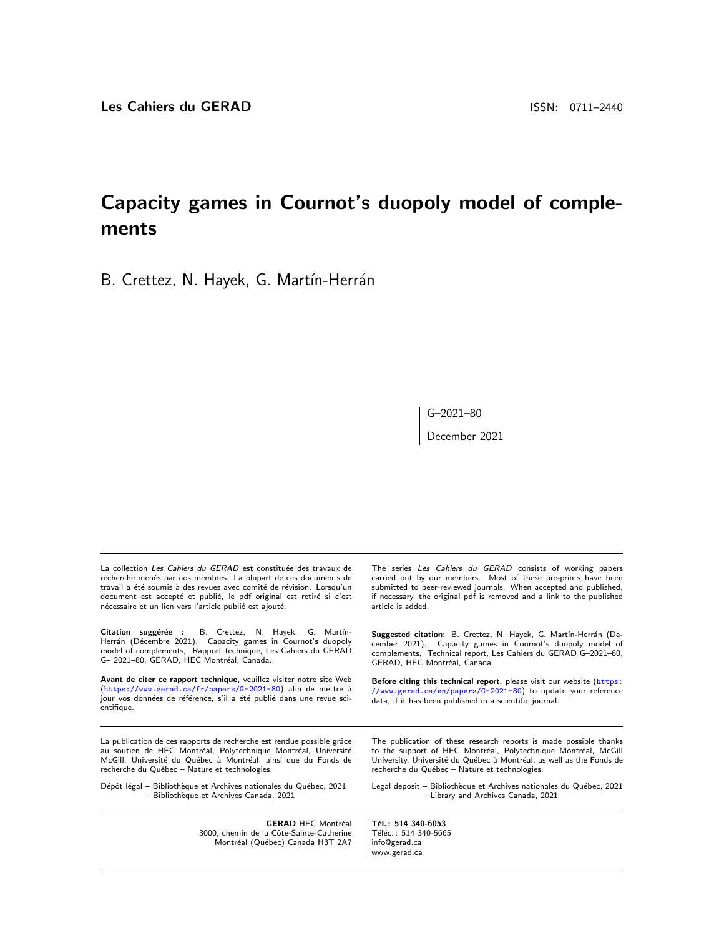# Capacity games in Cournot's duopoly model of complements

B. Crettez, N. Hayek, G. Martín-Herrán

G–2021–80

December 2021

La collection Les Cahiers du GERAD est constituée des travaux de recherche menés par nos membres. La plupart de ces documents de travail a été soumis à des revues avec comité de révision. Lorsqu'un document est accepté et publié, le pdf original est retiré si c'est nécessaire et un lien vers l'article publié est ajouté.

Citation suggérée : B. Crettez, N. Hayek, G. Martín-Herrán (Décembre 2021). Capacity games in Cournot's duopoly model of complements, Rapport technique, Les Cahiers du GERAD G- 2021-80, GERAD, HEC Montréal, Canada.

Avant de citer ce rapport technique, veuillez visiter notre site Web (<https://www.gerad.ca/fr/papers/G-2021-80>) afin de mettre à jour vos données de référence, s'il a été publié dans une revue scientifique.

La publication de ces rapports de recherche est rendue possible grâce au soutien de HEC Montréal, Polytechnique Montréal, Université McGill, Université du Québec à Montréal, ainsi que du Fonds de recherche du Québec - Nature et technologies.

Dépôt légal – Bibliothèque et Archives nationales du Québec, 2021 – Biblioth`eque et Archives Canada, 2021

> **GERAD HEC Montréal** 3000, chemin de la Côte-Sainte-Catherine Montréal (Québec) Canada H3T 2A7

The series Les Cahiers du GERAD consists of working papers carried out by our members. Most of these pre-prints have been submitted to peer-reviewed journals. When accepted and published, if necessary, the original pdf is removed and a link to the published article is added.

Suggested citation: B. Crettez, N. Hayek, G. Martín-Herrán (December 2021). Capacity games in Cournot's duopoly model of complements, Technical report, Les Cahiers du GERAD G–2021–80, GERAD, HEC Montréal, Canada.

Before citing this technical report, please visit our website ([https:](https://www.gerad.ca/en/papers/G-2021-80) [//www.gerad.ca/en/papers/G-2021-80](https://www.gerad.ca/en/papers/G-2021-80)) to update your reference data, if it has been published in a scientific journal.

The publication of these research reports is made possible thanks to the support of HEC Montréal, Polytechnique Montréal, McGill University, Université du Québec à Montréal, as well as the Fonds de recherche du Québec - Nature et technologies.

Legal deposit - Bibliothèque et Archives nationales du Québec, 2021 – Library and Archives Canada, 2021

Tél.: 514 340-6053 Téléc.: 514 340-5665 info@gerad.ca www.gerad.ca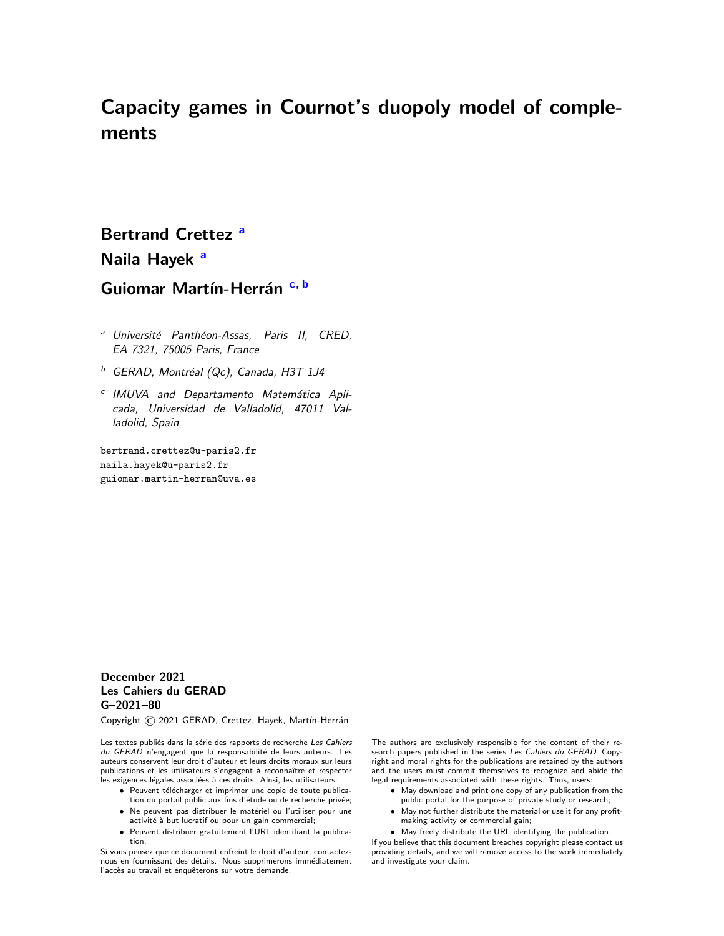# Capacity games in Cournot's duopoly model of complements

# Bertr[a](#page-1-0)nd Crettez<sup>a</sup> N[a](#page-1-0)ila Hayek<sup>a</sup> Guiomar Martín-Herrán [c,](#page-1-1) [b](#page-1-2)

- <span id="page-1-0"></span><sup>a</sup> Université Panthéon-Assas, Paris II, CRED, EA 7321, 75005 Paris, France
- <span id="page-1-2"></span> $b$  GERAD, Montréal (Qc), Canada, H3T 1J4
- <span id="page-1-1"></span><sup>c</sup> IMUVA and Departamento Matemática Aplicada, Universidad de Valladolid, 47011 Valladolid, Spain

bertrand.crettez@u-paris2.fr naila.hayek@u-paris2.fr guiomar.martin-herran@uva.es

### December 2021 Les Cahiers du GERAD G–2021–80

Copyright C 2021 GERAD, Crettez, Hayek, Martín-Herrán

Les textes publiés dans la série des rapports de recherche Les Cahiers du GERAD n'engagent que la responsabilité de leurs auteurs. Les auteurs conservent leur droit d'auteur et leurs droits moraux sur leurs publications et les utilisateurs s'engagent à reconnaître et respecter les exigences légales associées à ces droits. Ainsi, les utilisateurs:

- Peuvent télécharger et imprimer une copie de toute publica-
- tion du portail public aux fins d'étude ou de recherche privée; • Ne peuvent pas distribuer le matériel ou l'utiliser pour une activité à but lucratif ou pour un gain commercial;
- Peuvent distribuer gratuitement l'URL identifiant la publication.

Si vous pensez que ce document enfreint le droit d'auteur, contacteznous en fournissant des détails. Nous supprimerons immédiatement l'accès au travail et enquêterons sur votre demande.

The authors are exclusively responsible for the content of their research papers published in the series Les Cahiers du GERAD. Copyright and moral rights for the publications are retained by the authors and the users must commit themselves to recognize and abide the legal requirements associated with these rights. Thus, users:

- May download and print one copy of any publication from the
- public portal for the purpose of private study or research; • May not further distribute the material or use it for any profit-
- making activity or commercial gain;

• May freely distribute the URL identifying the publication. If you believe that this document breaches copyright please contact us providing details, and we will remove access to the work immediately and investigate your claim.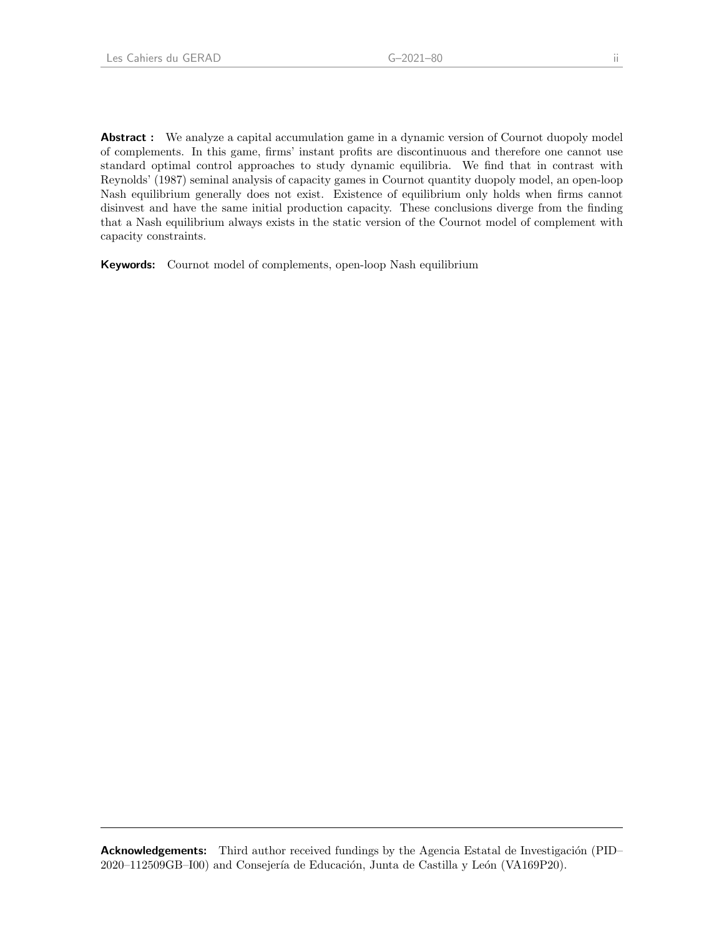Abstract : We analyze a capital accumulation game in a dynamic version of Cournot duopoly model of complements. In this game, firms' instant profits are discontinuous and therefore one cannot use standard optimal control approaches to study dynamic equilibria. We find that in contrast with Reynolds' (1987) seminal analysis of capacity games in Cournot quantity duopoly model, an open-loop Nash equilibrium generally does not exist. Existence of equilibrium only holds when firms cannot disinvest and have the same initial production capacity. These conclusions diverge from the finding that a Nash equilibrium always exists in the static version of the Cournot model of complement with capacity constraints.

Keywords: Cournot model of complements, open-loop Nash equilibrium

Acknowledgements: Third author received fundings by the Agencia Estatal de Investigación (PID– 2020–112509GB–I00) and Consejería de Educación, Junta de Castilla y León (VA169P20).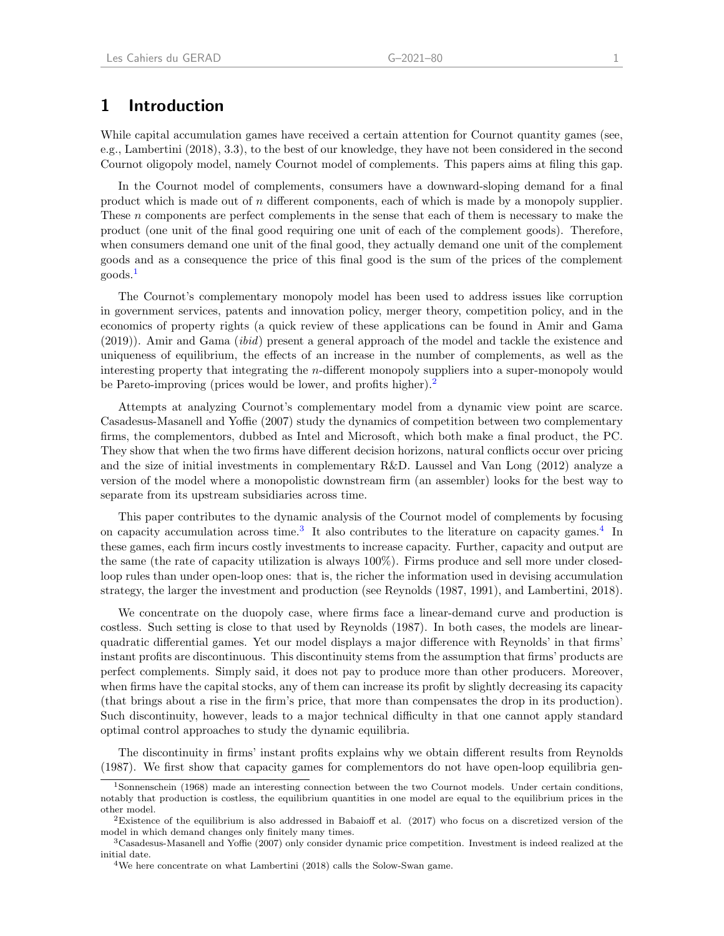### 1 Introduction

While capital accumulation games have received a certain attention for Cournot quantity games (see, e.g., Lambertini (2018), 3.3), to the best of our knowledge, they have not been considered in the second Cournot oligopoly model, namely Cournot model of complements. This papers aims at filing this gap.

In the Cournot model of complements, consumers have a downward-sloping demand for a final product which is made out of n different components, each of which is made by a monopoly supplier. These *n* components are perfect complements in the sense that each of them is necessary to make the product (one unit of the final good requiring one unit of each of the complement goods). Therefore, when consumers demand one unit of the final good, they actually demand one unit of the complement goods and as a consequence the price of this final good is the sum of the prices of the complement goods.[1](#page-3-0)

The Cournot's complementary monopoly model has been used to address issues like corruption in government services, patents and innovation policy, merger theory, competition policy, and in the economics of property rights (a quick review of these applications can be found in Amir and Gama (2019)). Amir and Gama (ibid) present a general approach of the model and tackle the existence and uniqueness of equilibrium, the effects of an increase in the number of complements, as well as the interesting property that integrating the n-different monopoly suppliers into a super-monopoly would be Pareto-improving (prices would be lower, and profits higher).<sup>[2](#page-3-1)</sup>

Attempts at analyzing Cournot's complementary model from a dynamic view point are scarce. Casadesus-Masanell and Yoffie (2007) study the dynamics of competition between two complementary firms, the complementors, dubbed as Intel and Microsoft, which both make a final product, the PC. They show that when the two firms have different decision horizons, natural conflicts occur over pricing and the size of initial investments in complementary R&D. Laussel and Van Long (2012) analyze a version of the model where a monopolistic downstream firm (an assembler) looks for the best way to separate from its upstream subsidiaries across time.

This paper contributes to the dynamic analysis of the Cournot model of complements by focusing on capacity accumulation across time.<sup>[3](#page-3-2)</sup> It also contributes to the literature on capacity games.<sup>[4](#page-3-3)</sup> In these games, each firm incurs costly investments to increase capacity. Further, capacity and output are the same (the rate of capacity utilization is always 100%). Firms produce and sell more under closedloop rules than under open-loop ones: that is, the richer the information used in devising accumulation strategy, the larger the investment and production (see Reynolds (1987, 1991), and Lambertini, 2018).

We concentrate on the duopoly case, where firms face a linear-demand curve and production is costless. Such setting is close to that used by Reynolds (1987). In both cases, the models are linearquadratic differential games. Yet our model displays a major difference with Reynolds' in that firms' instant profits are discontinuous. This discontinuity stems from the assumption that firms' products are perfect complements. Simply said, it does not pay to produce more than other producers. Moreover, when firms have the capital stocks, any of them can increase its profit by slightly decreasing its capacity (that brings about a rise in the firm's price, that more than compensates the drop in its production). Such discontinuity, however, leads to a major technical difficulty in that one cannot apply standard optimal control approaches to study the dynamic equilibria.

The discontinuity in firms' instant profits explains why we obtain different results from Reynolds (1987). We first show that capacity games for complementors do not have open-loop equilibria gen-

<span id="page-3-0"></span><sup>1</sup>Sonnenschein (1968) made an interesting connection between the two Cournot models. Under certain conditions, notably that production is costless, the equilibrium quantities in one model are equal to the equilibrium prices in the other model.

<span id="page-3-1"></span><sup>&</sup>lt;sup>2</sup>Existence of the equilibrium is also addressed in Babaioff et al.  $(2017)$  who focus on a discretized version of the model in which demand changes only finitely many times.

<span id="page-3-2"></span><sup>3</sup>Casadesus-Masanell and Yoffie (2007) only consider dynamic price competition. Investment is indeed realized at the initial date.

<span id="page-3-3"></span><sup>4</sup>We here concentrate on what Lambertini (2018) calls the Solow-Swan game.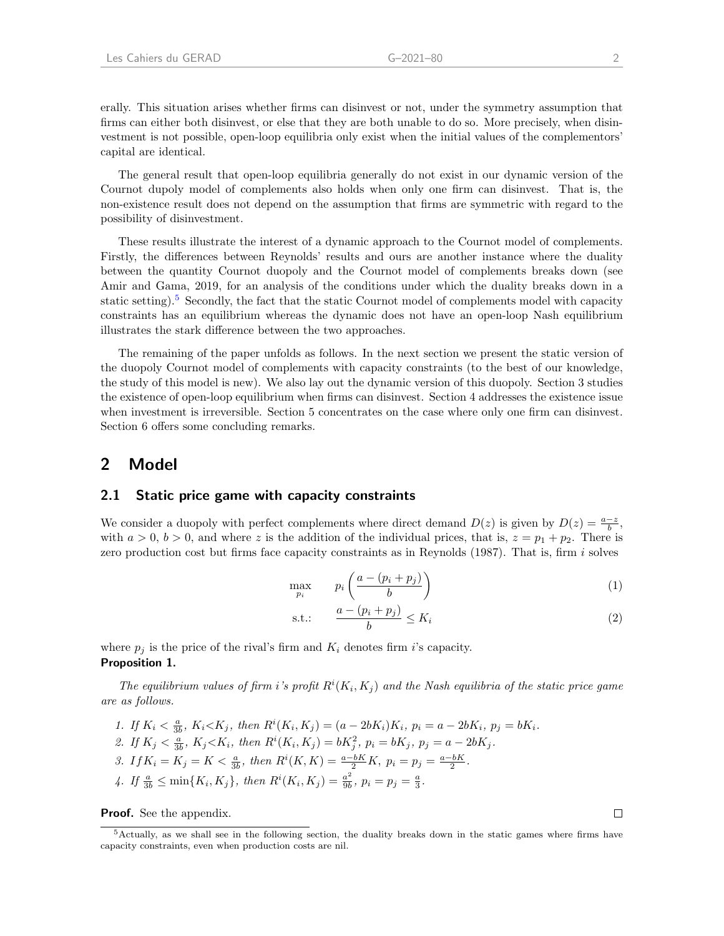erally. This situation arises whether firms can disinvest or not, under the symmetry assumption that firms can either both disinvest, or else that they are both unable to do so. More precisely, when disinvestment is not possible, open-loop equilibria only exist when the initial values of the complementors' capital are identical.

The general result that open-loop equilibria generally do not exist in our dynamic version of the Cournot dupoly model of complements also holds when only one firm can disinvest. That is, the non-existence result does not depend on the assumption that firms are symmetric with regard to the possibility of disinvestment.

These results illustrate the interest of a dynamic approach to the Cournot model of complements. Firstly, the differences between Reynolds' results and ours are another instance where the duality between the quantity Cournot duopoly and the Cournot model of complements breaks down (see Amir and Gama, 2019, for an analysis of the conditions under which the duality breaks down in a static setting).[5](#page-4-0) Secondly, the fact that the static Cournot model of complements model with capacity constraints has an equilibrium whereas the dynamic does not have an open-loop Nash equilibrium illustrates the stark difference between the two approaches.

The remaining of the paper unfolds as follows. In the next section we present the static version of the duopoly Cournot model of complements with capacity constraints (to the best of our knowledge, the study of this model is new). We also lay out the dynamic version of this duopoly. Section 3 studies the existence of open-loop equilibrium when firms can disinvest. Section 4 addresses the existence issue when investment is irreversible. Section 5 concentrates on the case where only one firm can disinvest. Section 6 offers some concluding remarks.

### 2 Model

#### 2.1 Static price game with capacity constraints

We consider a duopoly with perfect complements where direct demand  $D(z)$  is given by  $D(z) = \frac{a-z}{b}$ , with  $a > 0$ ,  $b > 0$ , and where z is the addition of the individual prices, that is,  $z = p_1 + p_2$ . There is zero production cost but firms face capacity constraints as in Reynolds (1987). That is, firm i solves

<span id="page-4-2"></span>
$$
\max_{p_i} \qquad p_i \left( \frac{a - (p_i + p_j)}{b} \right) \tag{1}
$$

$$
\text{s.t.:} \qquad \frac{a - (p_i + p_j)}{b} \le K_i \tag{2}
$$

<span id="page-4-1"></span>where  $p_i$  is the price of the rival's firm and  $K_i$  denotes firm i's capacity. Proposition 1.

The equilibrium values of firm i's profit  $R^{i}(K_i, K_j)$  and the Nash equilibria of the static price game are as follows.

1. If  $K_i < \frac{a}{3b}$ ,  $K_i < K_j$ , then  $R^i(K_i, K_j) = (a - 2bK_i)K_i$ ,  $p_i = a - 2bK_i$ ,  $p_j = bK_i$ . 2. If  $K_j < \frac{a}{3b}$ ,  $K_j < K_i$ , then  $R^i(K_i, K_j) = bK_j^2$ ,  $p_i = bK_j$ ,  $p_j = a - 2bK_j$ . 3. If  $K_i = K_j = K < \frac{a}{3b}$ , then  $R^i(K, K) = \frac{a - bK}{2}K$ ,  $p_i = p_j = \frac{a - bK}{2}$ . 4. If  $\frac{a}{3b} \le \min\{K_i, K_j\}$ , then  $R^i(K_i, K_j) = \frac{a^2}{9b}$  $\frac{a^2}{9b}, p_i = p_j = \frac{a}{3}.$ 

**Proof.** See the appendix.

<span id="page-4-0"></span><sup>5</sup>Actually, as we shall see in the following section, the duality breaks down in the static games where firms have capacity constraints, even when production costs are nil.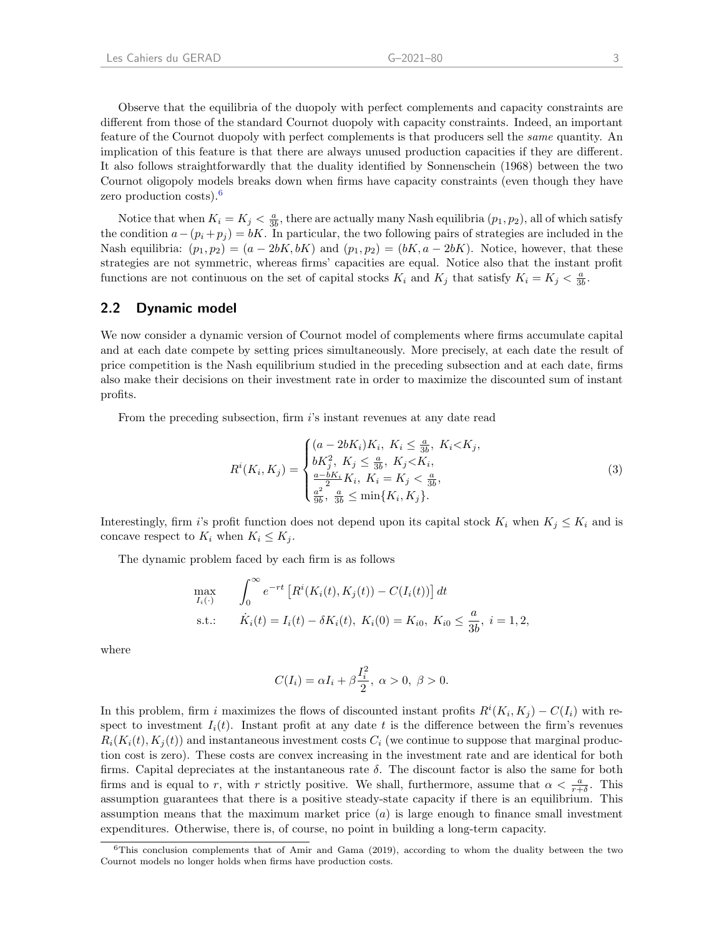Observe that the equilibria of the duopoly with perfect complements and capacity constraints are different from those of the standard Cournot duopoly with capacity constraints. Indeed, an important feature of the Cournot duopoly with perfect complements is that producers sell the *same* quantity. An implication of this feature is that there are always unused production capacities if they are different. It also follows straightforwardly that the duality identified by Sonnenschein (1968) between the two Cournot oligopoly models breaks down when firms have capacity constraints (even though they have zero production costs).<sup>[6](#page-5-0)</sup>

Notice that when  $K_i = K_j < \frac{a}{3b}$ , there are actually many Nash equilibria  $(p_1, p_2)$ , all of which satisfy the condition  $a-(p_i+p_j) = bK$ . In particular, the two following pairs of strategies are included in the Nash equilibria:  $(p_1, p_2) = (a - 2bK, bK)$  and  $(p_1, p_2) = (bK, a - 2bK)$ . Notice, however, that these strategies are not symmetric, whereas firms' capacities are equal. Notice also that the instant profit functions are not continuous on the set of capital stocks  $K_i$  and  $K_j$  that satisfy  $K_i = K_j < \frac{a}{3b}$ .

#### 2.2 Dynamic model

We now consider a dynamic version of Cournot model of complements where firms accumulate capital and at each date compete by setting prices simultaneously. More precisely, at each date the result of price competition is the Nash equilibrium studied in the preceding subsection and at each date, firms also make their decisions on their investment rate in order to maximize the discounted sum of instant profits.

From the preceding subsection, firm is instant revenues at any date read

$$
R^{i}(K_{i}, K_{j}) = \begin{cases} (a - 2bK_{i})K_{i}, K_{i} \leq \frac{a}{3b}, K_{i} < K_{j}, \\ bK_{j}^{2}, K_{j} \leq \frac{a}{3b}, K_{j} < K_{i}, \\ \frac{a - bK_{i}}{2}K_{i}, K_{i} = K_{j} < \frac{a}{3b}, \\ \frac{a^{2}}{9b}, \frac{a}{3b} \leq \min\{K_{i}, K_{j}\}. \end{cases} \tag{3}
$$

Interestingly, firm i's profit function does not depend upon its capital stock  $K_i$  when  $K_j \leq K_i$  and is concave respect to  $K_i$  when  $K_i \leq K_j$ .

The dynamic problem faced by each firm is as follows

$$
\max_{I_i(\cdot)} \qquad \int_0^\infty e^{-rt} \left[ R^i(K_i(t), K_j(t)) - C(I_i(t)) \right] dt
$$
\n
$$
\text{s.t.:} \qquad \dot{K}_i(t) = I_i(t) - \delta K_i(t), \ K_i(0) = K_{i0}, \ K_{i0} \le \frac{a}{3b}, \ i = 1, 2,
$$

where

$$
C(I_i) = \alpha I_i + \beta \frac{I_i^2}{2}, \ \alpha > 0, \ \beta > 0.
$$

In this problem, firm i maximizes the flows of discounted instant profits  $R^{i}(K_i, K_j) - C(I_i)$  with respect to investment  $I_i(t)$ . Instant profit at any date t is the difference between the firm's revenues  $R_i(K_i(t), K_i(t))$  and instantaneous investment costs  $C_i$  (we continue to suppose that marginal production cost is zero). These costs are convex increasing in the investment rate and are identical for both firms. Capital depreciates at the instantaneous rate  $\delta$ . The discount factor is also the same for both firms and is equal to r, with r strictly positive. We shall, furthermore, assume that  $\alpha < \frac{a}{r+\delta}$ . This assumption guarantees that there is a positive steady-state capacity if there is an equilibrium. This assumption means that the maximum market price  $(a)$  is large enough to finance small investment expenditures. Otherwise, there is, of course, no point in building a long-term capacity.

<span id="page-5-0"></span><sup>6</sup>This conclusion complements that of Amir and Gama (2019), according to whom the duality between the two Cournot models no longer holds when firms have production costs.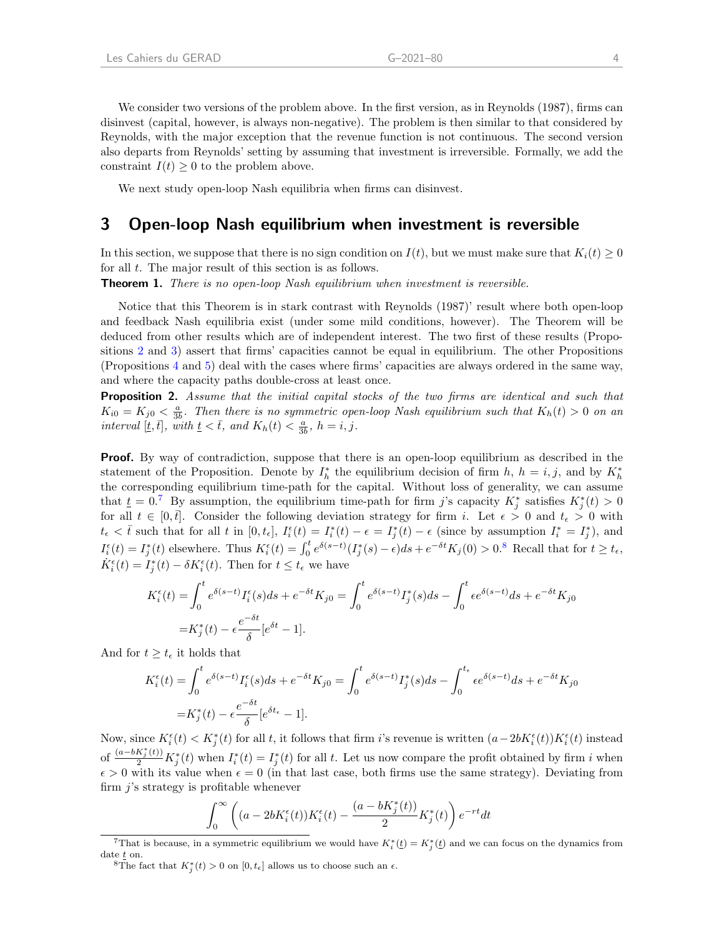We consider two versions of the problem above. In the first version, as in Reynolds (1987), firms can disinvest (capital, however, is always non-negative). The problem is then similar to that considered by Reynolds, with the major exception that the revenue function is not continuous. The second version also departs from Reynolds' setting by assuming that investment is irreversible. Formally, we add the constraint  $I(t) \geq 0$  to the problem above.

We next study open-loop Nash equilibria when firms can disinvest.

### 3 Open-loop Nash equilibrium when investment is reversible

In this section, we suppose that there is no sign condition on  $I(t)$ , but we must make sure that  $K_i(t) \geq 0$ for all t. The major result of this section is as follows.

<span id="page-6-3"></span>**Theorem 1.** There is no open-loop Nash equilibrium when investment is reversible.

Notice that this Theorem is in stark contrast with Reynolds (1987)' result where both open-loop and feedback Nash equilibria exist (under some mild conditions, however). The Theorem will be deduced from other results which are of independent interest. The two first of these results (Propositions [2](#page-6-0) and [3\)](#page-9-0) assert that firms' capacities cannot be equal in equilibrium. The other Propositions (Propositions [4](#page-9-1) and [5\)](#page-10-0) deal with the cases where firms' capacities are always ordered in the same way, and where the capacity paths double-cross at least once.

<span id="page-6-0"></span>**Proposition 2.** Assume that the initial capital stocks of the two firms are identical and such that  $K_{i0} = K_{j0} < \frac{a}{3b}$ . Then there is no symmetric open-loop Nash equilibrium such that  $K_h(t) > 0$  on an interval [t, t], with  $t \leq \bar{t}$ , and  $K_h(t) \leq \frac{a}{3b}$ ,  $h = i, j$ .

**Proof.** By way of contradiction, suppose that there is an open-loop equilibrium as described in the statement of the Proposition. Denote by  $I_h^*$  the equilibrium decision of firm  $h, h = i, j$ , and by  $K_h^*$ the corresponding equilibrium time-path for the capital. Without loss of generality, we can assume that  $\underline{t} = 0$ .<sup>[7](#page-6-1)</sup> By assumption, the equilibrium time-path for firm j's capacity  $K_j^*$  satisfies  $K_j^*(t) > 0$ for all  $t \in [0, \bar{t}]$ . Consider the following deviation strategy for firm i. Let  $\epsilon > 0$  and  $t_{\epsilon} > 0$  with  $t_{\epsilon} < \bar{t}$  such that for all t in  $[0, t_{\epsilon}], I_{i}^{\epsilon}(t) = I_{i}^{*}(t) - \epsilon = I_{j}^{*}(t) - \epsilon$  (since by assumption  $I_{i}^{*} = I_{j}^{*}$ ), and  $I_i^{\epsilon}(t) = I_j^*(t)$  elsewhere. Thus  $K_i^{\epsilon}(t) = \int_0^t e^{\delta(s-t)} (I_j^*(s) - \epsilon) ds + e^{-\delta t} K_j(0) > 0$ .<sup>[8](#page-6-2)</sup> Recall that for  $t \ge t_{\epsilon}$ ,  $\dot{K}_{i}^{\epsilon}(t) = I_{j}^{*}(t) - \delta K_{i}^{\epsilon}(t)$ . Then for  $t \leq t_{\epsilon}$  we have

$$
K_i^{\epsilon}(t) = \int_0^t e^{\delta(s-t)} I_i^{\epsilon}(s) ds + e^{-\delta t} K_{j0} = \int_0^t e^{\delta(s-t)} I_j^*(s) ds - \int_0^t \epsilon e^{\delta(s-t)} ds + e^{-\delta t} K_{j0}
$$
  
=  $K_j^*(t) - \epsilon \frac{e^{-\delta t}}{\delta} [e^{\delta t} - 1].$ 

And for  $t \geq t_{\epsilon}$  it holds that

$$
K_i^{\epsilon}(t) = \int_0^t e^{\delta(s-t)} I_i^{\epsilon}(s) ds + e^{-\delta t} K_{j0} = \int_0^t e^{\delta(s-t)} I_j^*(s) ds - \int_0^{t_{\epsilon}} \epsilon e^{\delta(s-t)} ds + e^{-\delta t} K_{j0}
$$

$$
= K_j^*(t) - \epsilon \frac{e^{-\delta t}}{\delta} [e^{\delta t_{\epsilon}} - 1].
$$

Now, since  $K_i^{\epsilon}(t) < K_j^*(t)$  for all t, it follows that firm i's revenue is written  $(a-2bK_i^{\epsilon}(t))K_i^{\epsilon}(t)$  instead of  $\frac{(a-bK_j^*(t))}{2}K_j^*(t)$  when  $I_i^*(t) = I_j^*(t)$  for all t. Let us now compare the profit obtained by firm i when  $\epsilon > 0$  with its value when  $\epsilon = 0$  (in that last case, both firms use the same strategy). Deviating from firm  $j$ 's strategy is profitable whenever

$$
\int_0^\infty \left( (a-2bK_i^\epsilon(t))K_i^\epsilon(t)-\frac{(a-bK_j^\ast(t))}{2}K_j^\ast(t)\right)e^{-rt}dt
$$

<span id="page-6-1"></span><sup>&</sup>lt;sup>7</sup>That is because, in a symmetric equilibrium we would have  $K_i^*(t) = K_j^*(t)$  and we can focus on the dynamics from date t on.

<span id="page-6-2"></span><sup>&</sup>lt;sup>8</sup>The fact that  $K_j^*(t) > 0$  on  $[0, t_{\epsilon}]$  allows us to choose such an  $\epsilon$ .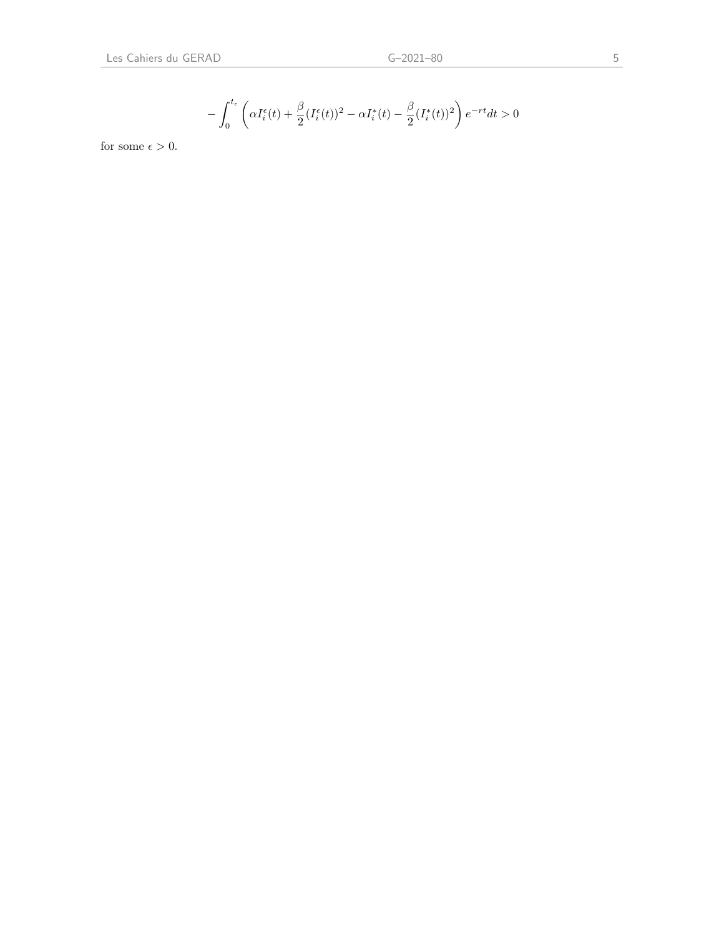$$
-\int_0^{t_{\epsilon}} \left( \alpha I_i^{\epsilon}(t) + \frac{\beta}{2} (I_i^{\epsilon}(t))^2 - \alpha I_i^*(t) - \frac{\beta}{2} (I_i^*(t))^2 \right) e^{-rt} dt > 0
$$

for some  $\epsilon > 0$ .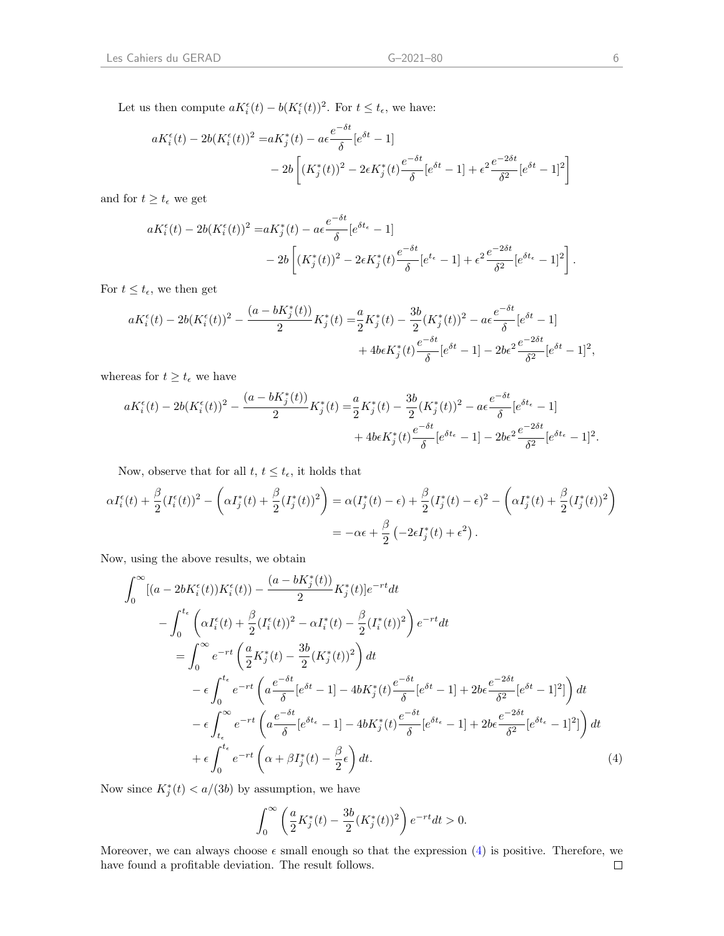Let us then compute  $aK_i^{\epsilon}(t) - b(K_i^{\epsilon}(t))^2$ . For  $t \leq t_{\epsilon}$ , we have:

$$
aK_i^{\epsilon}(t) - 2b(K_i^{\epsilon}(t))^2 = aK_j^*(t) - a\epsilon \frac{e^{-\delta t}}{\delta} [e^{\delta t} - 1]
$$
  
- 2b  $\left[ (K_j^*(t))^2 - 2\epsilon K_j^*(t) \frac{e^{-\delta t}}{\delta} [e^{\delta t} - 1] + \epsilon^2 \frac{e^{-2\delta t}}{\delta^2} [e^{\delta t} - 1]^2 \right]$ 

and for  $t \geq t_{\epsilon}$  we get

$$
aK_i^{\epsilon}(t) - 2b(K_i^{\epsilon}(t))^2 = aK_j^*(t) - a\epsilon \frac{e^{-\delta t}}{\delta} [e^{\delta t_{\epsilon}} - 1] - 2b \left[ (K_j^*(t))^2 - 2\epsilon K_j^*(t) \frac{e^{-\delta t}}{\delta} [e^{t_{\epsilon}} - 1] + \epsilon^2 \frac{e^{-2\delta t}}{\delta^2} [e^{\delta t_{\epsilon}} - 1]^2 \right].
$$

For  $t \leq t_{\epsilon}$ , we then get

$$
aK_i^{\epsilon}(t) - 2b(K_i^{\epsilon}(t))^2 - \frac{(a - bK_j^*(t))}{2}K_j^*(t) = \frac{a}{2}K_j^*(t) - \frac{3b}{2}(K_j^*(t))^2 - a\epsilon \frac{e^{-\delta t}}{\delta}[e^{\delta t} - 1] + 4b\epsilon K_j^*(t)\frac{e^{-\delta t}}{\delta}[e^{\delta t} - 1] - 2b\epsilon^2 \frac{e^{-2\delta t}}{\delta^2}[e^{\delta t} - 1]^2,
$$

whereas for  $t\geq t_{\epsilon}$  we have

$$
aK_i^{\epsilon}(t) - 2b(K_i^{\epsilon}(t))^2 - \frac{(a - bK_j^*(t))}{2}K_j^*(t) = \frac{a}{2}K_j^*(t) - \frac{3b}{2}(K_j^*(t))^2 - a\epsilon \frac{e^{-\delta t}}{\delta}[e^{\delta t_{\epsilon}} - 1] + 4beK_j^*(t)\frac{e^{-\delta t}}{\delta}[e^{\delta t_{\epsilon}} - 1] - 2be^2\frac{e^{-2\delta t}}{\delta^2}[e^{\delta t_{\epsilon}} - 1]^2.
$$

Now, observe that for all  $t, t \leq t_{\epsilon}$ , it holds that

$$
\alpha I_i^{\epsilon}(t) + \frac{\beta}{2} (I_i^{\epsilon}(t))^2 - \left( \alpha I_j^*(t) + \frac{\beta}{2} (I_j^*(t))^2 \right) = \alpha (I_j^*(t) - \epsilon) + \frac{\beta}{2} (I_j^*(t) - \epsilon)^2 - \left( \alpha I_j^*(t) + \frac{\beta}{2} (I_j^*(t))^2 \right) \n= -\alpha \epsilon + \frac{\beta}{2} \left( -2\epsilon I_j^*(t) + \epsilon^2 \right).
$$

Now, using the above results, we obtain

$$
\int_{0}^{\infty} [(a - 2bK_{i}^{\epsilon}(t))K_{i}^{\epsilon}(t)) - \frac{(a - bK_{j}^{*}(t))}{2}K_{j}^{*}(t)]e^{-rt}dt \n- \int_{0}^{t_{\epsilon}} \left(\alpha I_{i}^{\epsilon}(t) + \frac{\beta}{2}(I_{i}^{\epsilon}(t))^{2} - \alpha I_{i}^{*}(t) - \frac{\beta}{2}(I_{i}^{*}(t))^{2}\right)e^{-rt}dt \n= \int_{0}^{\infty} e^{-rt} \left(\frac{a}{2}K_{j}^{*}(t) - \frac{3b}{2}(K_{j}^{*}(t))^{2}\right)dt \n- \epsilon \int_{0}^{t_{\epsilon}} e^{-rt} \left(a\frac{e^{-\delta t}}{\delta}[e^{\delta t} - 1] - 4bK_{j}^{*}(t)\frac{e^{-\delta t}}{\delta}[e^{\delta t} - 1] + 2b\epsilon \frac{e^{-2\delta t}}{\delta^{2}}[e^{\delta t} - 1]^{2}]\right)dt \n- \epsilon \int_{t_{\epsilon}}^{\infty} e^{-rt} \left(a\frac{e^{-\delta t}}{\delta}[e^{\delta t_{\epsilon}} - 1] - 4bK_{j}^{*}(t)\frac{e^{-\delta t}}{\delta}[e^{\delta t_{\epsilon}} - 1] + 2b\epsilon \frac{e^{-2\delta t}}{\delta^{2}}[e^{\delta t_{\epsilon}} - 1]^{2}]\right)dt \n+ \epsilon \int_{0}^{t_{\epsilon}} e^{-rt} \left(\alpha + \beta I_{j}^{*}(t) - \frac{\beta}{2}\epsilon\right)dt.
$$
\n(4)

Now since  $K_j^*(t) < a/(3b)$  by assumption, we have

<span id="page-8-0"></span>
$$
\int_0^\infty \left(\frac{a}{2}K_j^*(t) - \frac{3b}{2}(K_j^*(t))^2\right)e^{-rt}dt > 0.
$$

Moreover, we can always choose  $\epsilon$  small enough so that the expression [\(4\)](#page-8-0) is positive. Therefore, we have found a profitable deviation. The result follows. $\Box$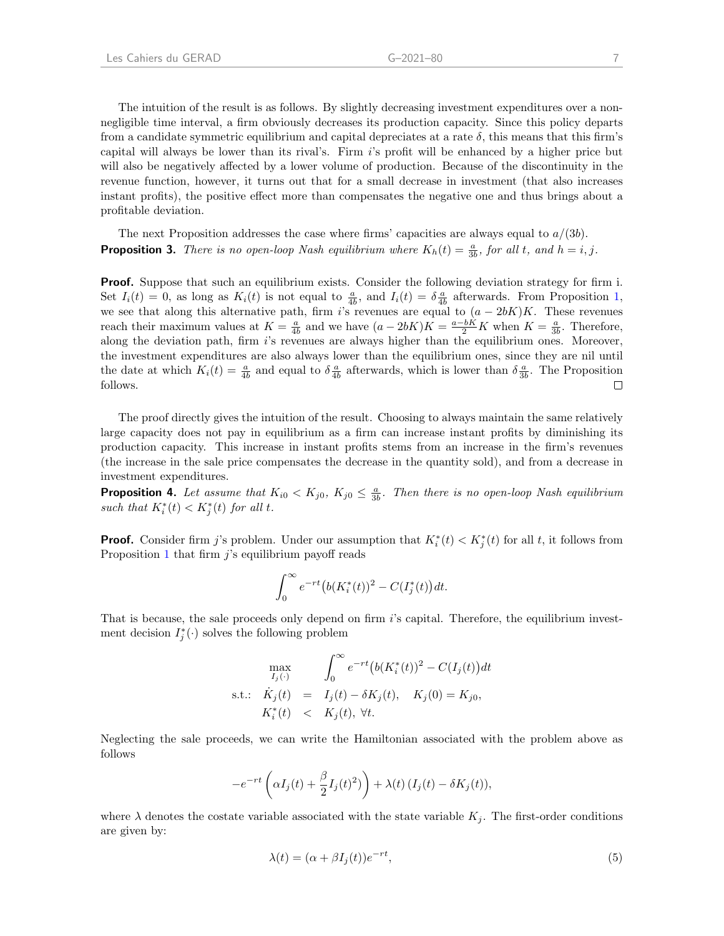The intuition of the result is as follows. By slightly decreasing investment expenditures over a nonnegligible time interval, a firm obviously decreases its production capacity. Since this policy departs from a candidate symmetric equilibrium and capital depreciates at a rate  $\delta$ , this means that this firm's capital will always be lower than its rival's. Firm i's profit will be enhanced by a higher price but will also be negatively affected by a lower volume of production. Because of the discontinuity in the revenue function, however, it turns out that for a small decrease in investment (that also increases instant profits), the positive effect more than compensates the negative one and thus brings about a profitable deviation.

<span id="page-9-0"></span>The next Proposition addresses the case where firms' capacities are always equal to  $a/(3b)$ . **Proposition 3.** There is no open-loop Nash equilibrium where  $K_h(t) = \frac{a}{3b}$ , for all t, and  $h = i, j$ .

**Proof.** Suppose that such an equilibrium exists. Consider the following deviation strategy for firm i. Set  $I_i(t) = 0$ , as long as  $K_i(t)$  is not equal to  $\frac{a}{4b}$ , and  $I_i(t) = \delta \frac{a}{4b}$  afterwards. From Proposition [1,](#page-4-1) we see that along this alternative path, firm i's revenues are equal to  $(a - 2bK)K$ . These revenues reach their maximum values at  $K = \frac{a}{4b}$  and we have  $(a - 2bK)K = \frac{a - bK}{2}K$  when  $K = \frac{a}{3b}$ . Therefore, along the deviation path, firm  $i$ 's revenues are always higher than the equilibrium ones. Moreover, the investment expenditures are also always lower than the equilibrium ones, since they are nil until the date at which  $K_i(t) = \frac{a}{4b}$  and equal to  $\delta \frac{a}{4b}$  afterwards, which is lower than  $\delta \frac{a}{3b}$ . The Proposition follows.  $\Box$ 

The proof directly gives the intuition of the result. Choosing to always maintain the same relatively large capacity does not pay in equilibrium as a firm can increase instant profits by diminishing its production capacity. This increase in instant profits stems from an increase in the firm's revenues (the increase in the sale price compensates the decrease in the quantity sold), and from a decrease in investment expenditures.

<span id="page-9-1"></span>**Proposition 4.** Let assume that  $K_{i0} < K_{j0}$ ,  $K_{j0} \leq \frac{a}{3b}$ . Then there is no open-loop Nash equilibrium such that  $K_i^*(t) < K_j^*(t)$  for all t.

**Proof.** Consider firm j's problem. Under our assumption that  $K_i^*(t) < K_j^*(t)$  for all t, it follows from Proposition [1](#page-4-1) that firm  $j$ 's equilibrium payoff reads

$$
\int_0^{\infty} e^{-rt} (b(K_i^*(t))^2 - C(I_j^*(t))dt).
$$

That is because, the sale proceeds only depend on firm i's capital. Therefore, the equilibrium investment decision  $I_j^*(\cdot)$  solves the following problem

$$
\max_{I_j(\cdot)} \quad \int_0^\infty e^{-rt} (b(K_i^*(t))^2 - C(I_j(t))dt
$$
\ns.t.:  $K_j(t) = I_j(t) - \delta K_j(t), \quad K_j(0) = K_{j0},$   
\n $K_i^*(t) < K_j(t), \forall t.$ 

Neglecting the sale proceeds, we can write the Hamiltonian associated with the problem above as follows

$$
-e^{-rt}\left(\alpha I_j(t)+\frac{\beta}{2}I_j(t)^2)\right)+\lambda(t)\left(I_j(t)-\delta K_j(t)\right),
$$

where  $\lambda$  denotes the costate variable associated with the state variable  $K_i$ . The first-order conditions are given by:

<span id="page-9-2"></span>
$$
\lambda(t) = (\alpha + \beta I_j(t))e^{-rt},\tag{5}
$$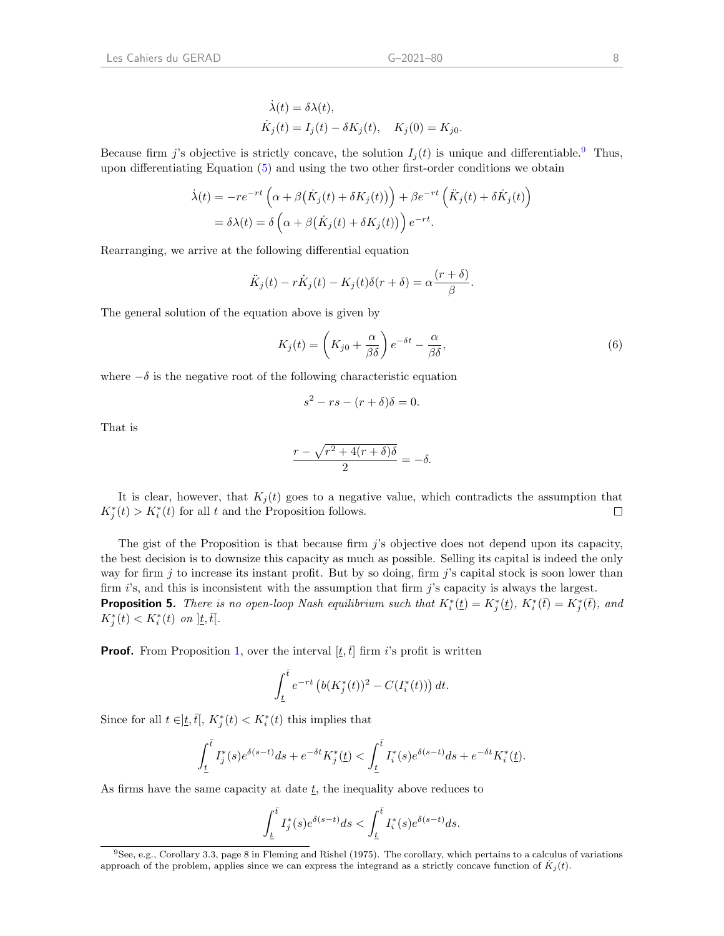Because firm j's objective is strictly concave, the solution  $I_i(t)$  is unique and differentiable.<sup>[9](#page-10-1)</sup> Thus, upon differentiating Equation [\(5\)](#page-9-2) and using the two other first-order conditions we obtain

$$
\dot{\lambda}(t) = -re^{-rt} \left( \alpha + \beta(\dot{K}_j(t) + \delta K_j(t)) \right) + \beta e^{-rt} \left( \ddot{K}_j(t) + \delta \dot{K}_j(t) \right)
$$

$$
= \delta \lambda(t) = \delta \left( \alpha + \beta(\dot{K}_j(t) + \delta K_j(t)) \right) e^{-rt}.
$$

Rearranging, we arrive at the following differential equation

$$
\ddot{K}_j(t) - r\dot{K}_j(t) - K_j(t)\delta(r+\delta) = \alpha \frac{(r+\delta)}{\beta}.
$$

The general solution of the equation above is given by

$$
K_j(t) = \left(K_{j0} + \frac{\alpha}{\beta \delta}\right) e^{-\delta t} - \frac{\alpha}{\beta \delta},\tag{6}
$$

where  $-\delta$  is the negative root of the following characteristic equation

$$
s^2 - rs - (r + \delta)\delta = 0.
$$

That is

$$
\frac{r - \sqrt{r^2 + 4(r+\delta)\delta}}{2} = -\delta.
$$

It is clear, however, that  $K_j(t)$  goes to a negative value, which contradicts the assumption that  $K_j^*(t) > K_i^*(t)$  for all t and the Proposition follows.  $\Box$ 

The gist of the Proposition is that because firm j's objective does not depend upon its capacity, the best decision is to downsize this capacity as much as possible. Selling its capital is indeed the only way for firm  $j$  to increase its instant profit. But by so doing, firm  $j$ 's capital stock is soon lower than firm i's, and this is inconsistent with the assumption that firm j's capacity is always the largest. **Proposition 5.** There is no open-loop Nash equilibrium such that  $K_i^*(t) = K_j^*(t)$ ,  $K_i^*(\bar{t}) = K_j^*(\bar{t})$ , and  $K_j^*(t) < K_i^*(t)$  on  $\left] \underline{t}, \overline{t} \right]$ .

<span id="page-10-0"></span>**Proof.** From Proposition [1,](#page-4-1) over the interval  $[t, \bar{t}]$  firm i's profit is written

$$
\int_{\underline{t}}^{\overline{t}} e^{-rt} \left( b(K_j^*(t))^2 - C(I_i^*(t)) \right) dt.
$$

Since for all  $t \in ]\underline{t}, \overline{t}[, K^*_j(t) < K^*_i(t)$  this implies that

$$
\int_{\underline{t}}^{\overline{t}} I_j^*(s) e^{\delta(s-t)} ds + e^{-\delta t} K_j^*(\underline{t}) < \int_{\underline{t}}^{\overline{t}} I_i^*(s) e^{\delta(s-t)} ds + e^{-\delta t} K_i^*(\underline{t}).
$$

As firms have the same capacity at date  $\underline{t}$ , the inequality above reduces to

$$
\int_{\underline{t}}^{\overline{t}} I_j^*(s) e^{\delta(s-t)} ds < \int_{\underline{t}}^{\overline{t}} I_i^*(s) e^{\delta(s-t)} ds.
$$

<span id="page-10-1"></span> $9$ See, e.g., Corollary 3.3, page 8 in Fleming and Rishel (1975). The corollary, which pertains to a calculus of variations approach of the problem, applies since we can express the integrand as a strictly concave function of  $K_j(t)$ .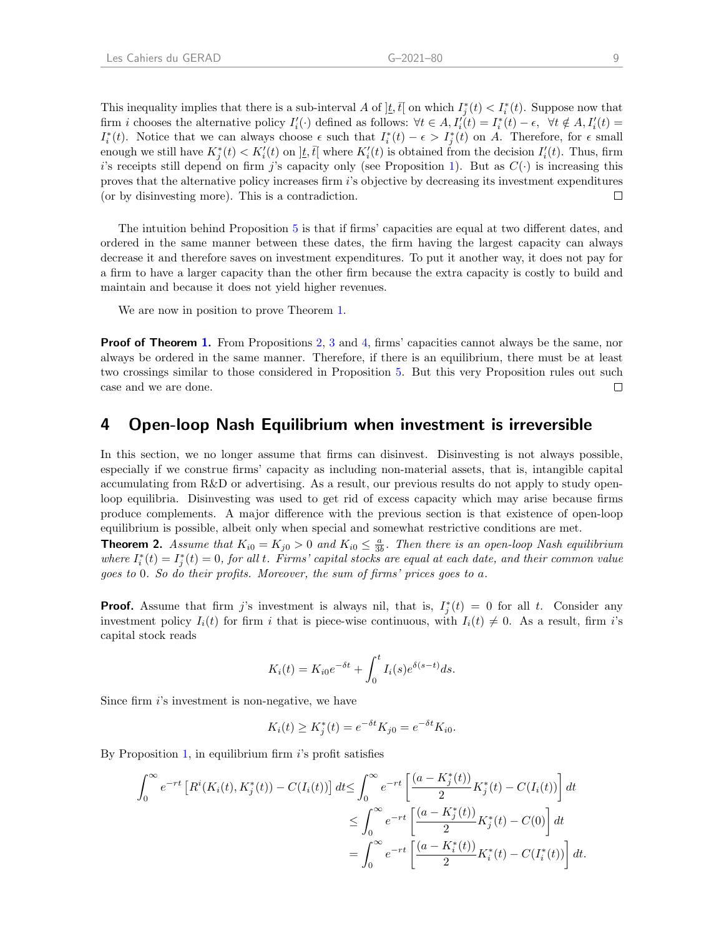This inequality implies that there is a sub-interval A of  $\vert \underline{t}, \overline{t} \vert$  on which  $I_j^*(t) < I_i^*(t)$ . Suppose now that firm i chooses the alternative policy  $I_i'(\cdot)$  defined as follows:  $\forall t \in A$ ,  $I_i'(t) = I_i^*(t) - \epsilon$ ,  $\forall t \notin A$ ,  $I_i'(t) =$  $I_i^*(t)$ . Notice that we can always choose  $\epsilon$  such that  $I_i^*(t) - \epsilon > I_j^*(t)$  on A. Therefore, for  $\epsilon$  small enough we still have  $K_j^*(t) < K_i'(t)$  on  $\vert \underline{t}, \overline{t} \vert$  where  $K_i'(t)$  is obtained from the decision  $I_i'(t)$ . Thus, firm i's receipts still depend on firm j's capacity only (see Proposition [1\)](#page-4-1). But as  $C(\cdot)$  is increasing this proves that the alternative policy increases firm i's objective by decreasing its investment expenditures (or by disinvesting more). This is a contradiction.  $\Box$ 

The intuition behind Proposition [5](#page-10-0) is that if firms' capacities are equal at two different dates, and ordered in the same manner between these dates, the firm having the largest capacity can always decrease it and therefore saves on investment expenditures. To put it another way, it does not pay for a firm to have a larger capacity than the other firm because the extra capacity is costly to build and maintain and because it does not yield higher revenues.

We are now in position to prove Theorem [1.](#page-6-3)

**Proof of Theorem [1.](#page-6-3)** From Propositions [2,](#page-6-0) [3](#page-9-0) and [4,](#page-9-1) firms' capacities cannot always be the same, nor always be ordered in the same manner. Therefore, if there is an equilibrium, there must be at least two crossings similar to those considered in Proposition [5.](#page-10-0) But this very Proposition rules out such case and we are done.  $\Box$ 

### 4 Open-loop Nash Equilibrium when investment is irreversible

In this section, we no longer assume that firms can disinvest. Disinvesting is not always possible, especially if we construe firms' capacity as including non-material assets, that is, intangible capital accumulating from R&D or advertising. As a result, our previous results do not apply to study openloop equilibria. Disinvesting was used to get rid of excess capacity which may arise because firms produce complements. A major difference with the previous section is that existence of open-loop equilibrium is possible, albeit only when special and somewhat restrictive conditions are met.

<span id="page-11-0"></span>**Theorem 2.** Assume that  $K_{i0} = K_{j0} > 0$  and  $K_{i0} \leq \frac{a}{3b}$ . Then there is an open-loop Nash equilibrium where  $I_i^*(t) = I_j^*(t) = 0$ , for all t. Firms' capital stocks are equal at each date, and their common value goes to 0. So do their profits. Moreover, the sum of firms' prices goes to a.

**Proof.** Assume that firm j's investment is always nil, that is,  $I_j^*(t) = 0$  for all t. Consider any investment policy  $I_i(t)$  for firm i that is piece-wise continuous, with  $I_i(t) \neq 0$ . As a result, firm i's capital stock reads

$$
K_i(t) = K_{i0}e^{-\delta t} + \int_0^t I_i(s)e^{\delta(s-t)}ds.
$$

Since firm i's investment is non-negative, we have

$$
K_i(t) \ge K_j^*(t) = e^{-\delta t} K_{j0} = e^{-\delta t} K_{i0}.
$$

By Proposition [1,](#page-4-1) in equilibrium firm  $i$ 's profit satisfies

$$
\int_0^{\infty} e^{-rt} \left[ R^i(K_i(t), K_j^*(t)) - C(I_i(t)) \right] dt \le \int_0^{\infty} e^{-rt} \left[ \frac{(a - K_j^*(t))}{2} K_j^*(t) - C(I_i(t)) \right] dt
$$
  

$$
\le \int_0^{\infty} e^{-rt} \left[ \frac{(a - K_j^*(t))}{2} K_j^*(t) - C(0) \right] dt
$$
  

$$
= \int_0^{\infty} e^{-rt} \left[ \frac{(a - K_i^*(t))}{2} K_i^*(t) - C(I_i^*(t)) \right] dt.
$$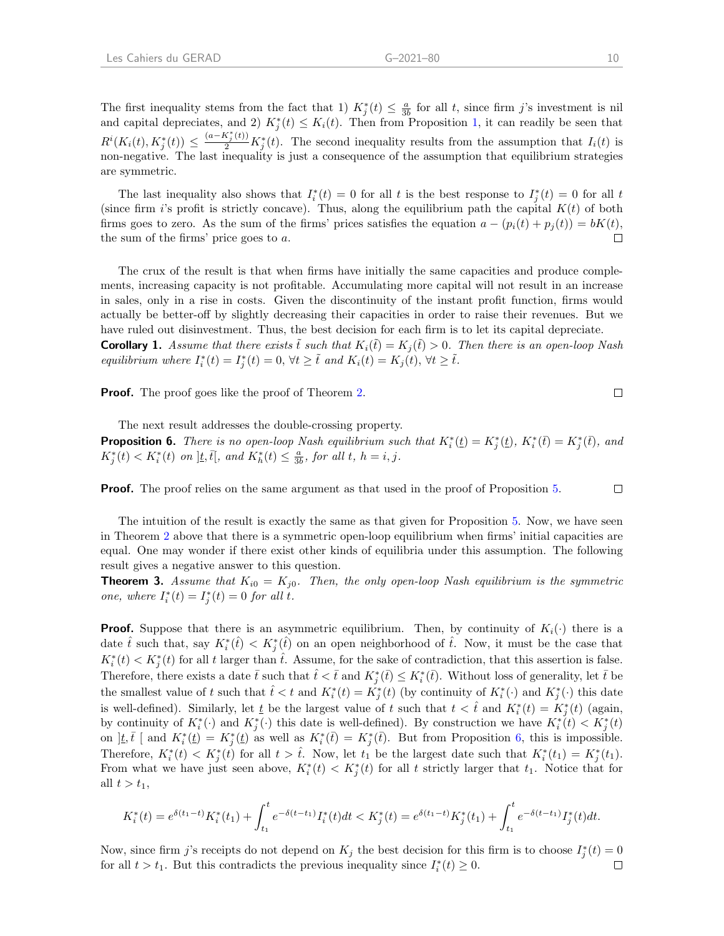The first inequality stems from the fact that 1)  $K_j^*(t) \leq \frac{a}{3b}$  for all t, since firm j's investment is nil and capital depreciates, and 2)  $K_j^*(t) \leq K_i(t)$ . Then from Proposition [1,](#page-4-1) it can readily be seen that  $R^{i}(K_i(t), K_j^*(t)) \leq \frac{(a-K_j^*(t))}{2}K_j^*(t)$ . The second inequality results from the assumption that  $I_i(t)$  is non-negative. The last inequality is just a consequence of the assumption that equilibrium strategies are symmetric.

The last inequality also shows that  $I_i^*(t) = 0$  for all t is the best response to  $I_j^*(t) = 0$  for all t (since firm i's profit is strictly concave). Thus, along the equilibrium path the capital  $K(t)$  of both firms goes to zero. As the sum of the firms' prices satisfies the equation  $a - (p_i(t) + p_j(t)) = bK(t)$ , the sum of the firms' price goes to a.  $\Box$ 

The crux of the result is that when firms have initially the same capacities and produce complements, increasing capacity is not profitable. Accumulating more capital will not result in an increase in sales, only in a rise in costs. Given the discontinuity of the instant profit function, firms would actually be better-off by slightly decreasing their capacities in order to raise their revenues. But we have ruled out disinvestment. Thus, the best decision for each firm is to let its capital depreciate. **Corollary 1.** Assume that there exists  $\tilde{t}$  such that  $K_i(\tilde{t}) = K_j(\tilde{t}) > 0$ . Then there is an open-loop Nash

equilibrium where  $I_i^*(t) = I_j^*(t) = 0$ ,  $\forall t \geq \tilde{t}$  and  $K_i(t) = K_j(t)$ ,  $\forall t \geq \tilde{t}$ .

**Proof.** The proof goes like the proof of Theorem [2.](#page-11-0)

The next result addresses the double-crossing property.

<span id="page-12-0"></span>**Proposition 6.** There is no open-loop Nash equilibrium such that  $K_i^*(t) = K_j^*(t)$ ,  $K_i^*(\bar{t}) = K_j^*(\bar{t})$ , and  $K_j^*(t) < K_i^*(t)$  on  $\underline{t}, \overline{t}$ , and  $K_h^*(t) \leq \frac{a}{3b}$ , for all  $t, h = i, j$ .

 $\Box$ **Proof.** The proof relies on the same argument as that used in the proof of Proposition [5.](#page-10-0)

The intuition of the result is exactly the same as that given for Proposition [5.](#page-10-0) Now, we have seen in Theorem [2](#page-11-0) above that there is a symmetric open-loop equilibrium when firms' initial capacities are equal. One may wonder if there exist other kinds of equilibria under this assumption. The following result gives a negative answer to this question.

<span id="page-12-1"></span>**Theorem 3.** Assume that  $K_{i0} = K_{i0}$ . Then, the only open-loop Nash equilibrium is the symmetric one, where  $I_i^*(t) = I_j^*(t) = 0$  for all t.

**Proof.** Suppose that there is an asymmetric equilibrium. Then, by continuity of  $K_i(\cdot)$  there is a date  $\hat{t}$  such that, say  $K_i^*(\hat{t}) < K_j^*(\hat{t})$  on an open neighborhood of  $\hat{t}$ . Now, it must be the case that  $K_i^*(t) < K_j^*(t)$  for all t larger than  $\hat{t}$ . Assume, for the sake of contradiction, that this assertion is false. Therefore, there exists a date  $\bar{t}$  such that  $\hat{t} < \bar{t}$  and  $K_j^*(\bar{t}) \le K_i^*(\bar{t})$ . Without loss of generality, let  $\bar{t}$  be the smallest value of t such that  $\hat{t} < t$  and  $K_i^*(t) = K_j^*(t)$  (by continuity of  $K_i^*(\cdot)$  and  $K_j^*(\cdot)$  this date is well-defined). Similarly, let  $\underline{t}$  be the largest value of t such that  $t < \hat{t}$  and  $K_i^*(t) = K_j^*(t)$  (again, by continuity of  $K_i^*(\cdot)$  and  $K_j^*(\cdot)$  this date is well-defined). By construction we have  $K_i^*(t) < K_j^*(t)$ on  $]\underline{t},\overline{t}$  [ and  $K_i^*(\underline{t}) = K_j^*(\underline{t})$  as well as  $K_i^*(\overline{t}) = K_j^*(\overline{t})$ . But from Proposition [6,](#page-12-0) this is impossible. Therefore,  $K_i^*(t) < K_j^*(t)$  for all  $t > \hat{t}$ . Now, let  $t_1$  be the largest date such that  $K_i^*(t_1) = K_j^*(t_1)$ . From what we have just seen above,  $K_i^*(t) < K_j^*(t)$  for all t strictly larger that  $t_1$ . Notice that for all  $t > t_1$ ,

$$
K_i^*(t) = e^{\delta(t_1 - t)} K_i^*(t_1) + \int_{t_1}^t e^{-\delta(t - t_1)} I_i^*(t) dt < K_j^*(t) = e^{\delta(t_1 - t)} K_j^*(t_1) + \int_{t_1}^t e^{-\delta(t - t_1)} I_j^*(t) dt.
$$

Now, since firm j's receipts do not depend on  $K_j$  the best decision for this firm is to choose  $I_j^*(t) = 0$ for all  $t > t_1$ . But this contradicts the previous inequality since  $I_i^*(t) \geq 0$ .  $\Box$ 

 $\Box$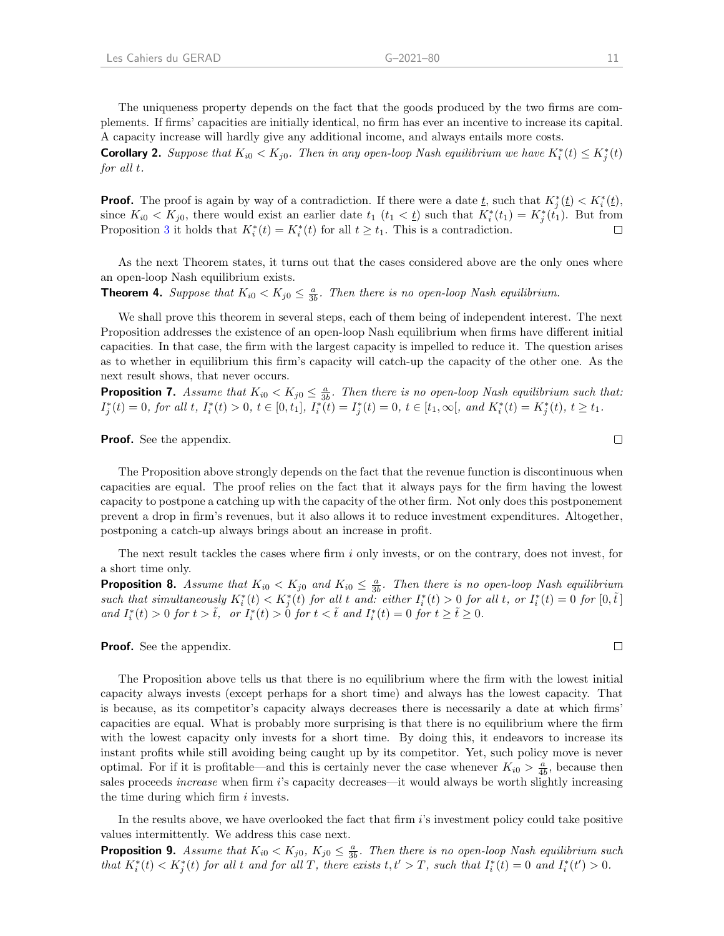**Corollary 2.** Suppose that  $K_{i0} < K_{j0}$ . Then in any open-loop Nash equilibrium we have  $K_i^*(t) \le K_j^*(t)$ for all t.

**Proof.** The proof is again by way of a contradiction. If there were a date  $\underline{t}$ , such that  $K_j^*(\underline{t}) < K_i^*(\underline{t})$ , since  $K_{i0} < K_{j0}$ , there would exist an earlier date  $t_1$   $(t_1 < t)$  such that  $K_i^*(t_1) = K_j^*(t_1)$ . But from Proposition [3](#page-12-1) it holds that  $K_i^*(t) = K_i^*(t)$  for all  $t \ge t_1$ . This is a contradiction.  $\Box$ 

As the next Theorem states, it turns out that the cases considered above are the only ones where an open-loop Nash equilibrium exists.

<span id="page-13-1"></span>**Theorem 4.** Suppose that  $K_{i0} < K_{j0} \leq \frac{a}{3b}$ . Then there is no open-loop Nash equilibrium.

We shall prove this theorem in several steps, each of them being of independent interest. The next Proposition addresses the existence of an open-loop Nash equilibrium when firms have different initial capacities. In that case, the firm with the largest capacity is impelled to reduce it. The question arises as to whether in equilibrium this firm's capacity will catch-up the capacity of the other one. As the next result shows, that never occurs.

<span id="page-13-2"></span>**Proposition 7.** Assume that  $K_{i0} < K_{j0} \leq \frac{a}{3b}$ . Then there is no open-loop Nash equilibrium such that:  $I_j^*(t) = 0$ , for all t,  $I_i^*(t) > 0$ ,  $t \in [0, t_1]$ ,  $I_i^*(t) = I_j^*(t) = 0$ ,  $t \in [t_1, \infty[$ , and  $K_i^*(t) = K_j^*(t)$ ,  $t \ge t_1$ .

**Proof.** See the appendix.

The Proposition above strongly depends on the fact that the revenue function is discontinuous when capacities are equal. The proof relies on the fact that it always pays for the firm having the lowest capacity to postpone a catching up with the capacity of the other firm. Not only does this postponement prevent a drop in firm's revenues, but it also allows it to reduce investment expenditures. Altogether, postponing a catch-up always brings about an increase in profit.

The next result tackles the cases where firm i only invests, or on the contrary, does not invest, for a short time only.

<span id="page-13-0"></span>**Proposition 8.** Assume that  $K_{i0} < K_{j0}$  and  $K_{i0} \leq \frac{a}{3b}$ . Then there is no open-loop Nash equilibrium such that simultaneously  $K_i^*(t) < K_j^*(t)$  for all t and: either  $I_i^*(t) > 0$  for all t, or  $I_i^*(t) = 0$  for  $[0, \tilde{t}]$ and  $I_i^*(t) > 0$  for  $t > \tilde{t}$ , or  $I_i^*(t) > 0$  for  $t < \tilde{t}$  and  $I_i^*(t) = 0$  for  $t \geq \tilde{t} \geq 0$ .

**Proof.** See the appendix.

The Proposition above tells us that there is no equilibrium where the firm with the lowest initial capacity always invests (except perhaps for a short time) and always has the lowest capacity. That is because, as its competitor's capacity always decreases there is necessarily a date at which firms' capacities are equal. What is probably more surprising is that there is no equilibrium where the firm with the lowest capacity only invests for a short time. By doing this, it endeavors to increase its instant profits while still avoiding being caught up by its competitor. Yet, such policy move is never optimal. For if it is profitable—and this is certainly never the case whenever  $K_{i0} > \frac{a}{4b}$ , because then sales proceeds *increase* when firm i's capacity decreases—it would always be worth slightly increasing the time during which firm  $i$  invests.

In the results above, we have overlooked the fact that firm i's investment policy could take positive values intermittently. We address this case next.

<span id="page-13-3"></span>**Proposition 9.** Assume that  $K_{i0} < K_{j0}$ ,  $K_{j0} \leq \frac{a}{3b}$ . Then there is no open-loop Nash equilibrium such that  $K_i^*(t) < K_j^*(t)$  for all t and for all T, there exists  $t, t' > T$ , such that  $I_i^*(t) = 0$  and  $I_i^*(t') > 0$ .

 $\Box$ 

 $\Box$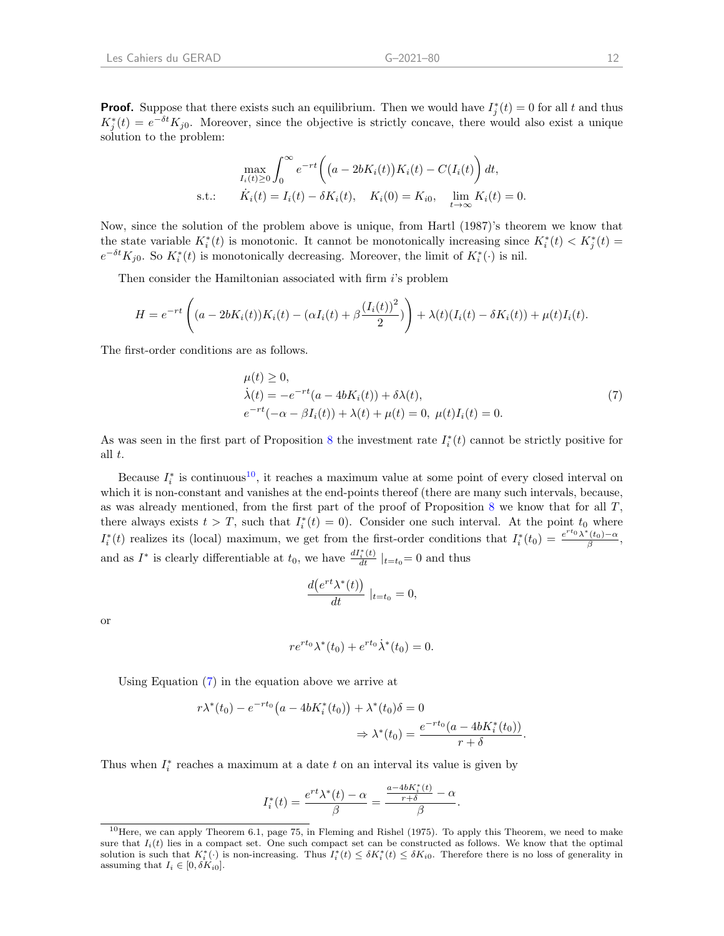**Proof.** Suppose that there exists such an equilibrium. Then we would have  $I_j^*(t) = 0$  for all t and thus  $K_j^*(t) = e^{-\delta t} K_{j0}$ . Moreover, since the objective is strictly concave, there would also exist a unique solution to the problem:

$$
\max_{I_i(t) \ge 0} \int_0^\infty e^{-rt} \left( (a - 2bK_i(t))K_i(t) - C(I_i(t)) \right) dt,
$$
  
s.t.:  $\dot{K}_i(t) = I_i(t) - \delta K_i(t), \quad K_i(0) = K_{i0}, \quad \lim_{t \to \infty} K_i(t) = 0.$ 

Now, since the solution of the problem above is unique, from Hartl (1987)'s theorem we know that the state variable  $K_i^*(t)$  is monotonic. It cannot be monotonically increasing since  $K_i^*(t) < K_j^*(t)$  $e^{-\delta t}K_{j0}$ . So  $K_i^*(t)$  is monotonically decreasing. Moreover, the limit of  $K_i^*(\cdot)$  is nil.

Then consider the Hamiltonian associated with firm i's problem

$$
H = e^{-rt} \left( (a - 2bK_i(t))K_i(t) - (\alpha I_i(t) + \beta \frac{(I_i(t))^2}{2}) \right) + \lambda(t)(I_i(t) - \delta K_i(t)) + \mu(t)I_i(t).
$$

The first-order conditions are as follows.

<span id="page-14-1"></span>
$$
\mu(t) \ge 0,\n\dot{\lambda}(t) = -e^{-rt}(a - 4bK_i(t)) + \delta \lambda(t),\ne^{-rt}(-\alpha - \beta I_i(t)) + \lambda(t) + \mu(t) = 0, \ \mu(t)I_i(t) = 0.
$$
\n(7)

As was seen in the first part of Proposition [8](#page-13-0) the investment rate  $I_i^*(t)$  cannot be strictly positive for all t.

Because  $I_i^*$  is continuous<sup>[10](#page-14-0)</sup>, it reaches a maximum value at some point of every closed interval on which it is non-constant and vanishes at the end-points thereof (there are many such intervals, because, as was already mentioned, from the first part of the proof of Proposition  $8$  we know that for all  $T$ , there always exists  $t > T$ , such that  $I_i^*(t) = 0$ . Consider one such interval. At the point  $t_0$  where  $I_i^*(t)$  realizes its (local) maximum, we get from the first-order conditions that  $I_i^*(t_0) = \frac{e^{rt_0}\lambda^*(t_0)-\alpha}{\beta}$ , and as  $I^*$  is clearly differentiable at  $t_0$ , we have  $\frac{dI_i^*(t)}{dt}|_{t=t_0}=0$  and thus

$$
\frac{d(e^{rt}\lambda^*(t))}{dt} \mid_{t=t_0} = 0,
$$

or

$$
re^{rt_0}\lambda^*(t_0) + e^{rt_0}\dot{\lambda}^*(t_0) = 0.
$$

Using Equation [\(7\)](#page-14-1) in the equation above we arrive at

$$
r\lambda^*(t_0) - e^{-rt_0}(a - 4bK_i^*(t_0)) + \lambda^*(t_0)\delta = 0
$$
  

$$
\Rightarrow \lambda^*(t_0) = \frac{e^{-rt_0}(a - 4bK_i^*(t_0))}{r + \delta}.
$$

Thus when  $I_i^*$  reaches a maximum at a date  $t$  on an interval its value is given by

$$
I_i^*(t) = \frac{e^{rt}\lambda^*(t) - \alpha}{\beta} = \frac{\frac{a - 4bK_i^*(t)}{r + \delta} - \alpha}{\beta}.
$$

<span id="page-14-0"></span><sup>10</sup>Here, we can apply Theorem 6.1, page 75, in Fleming and Rishel (1975). To apply this Theorem, we need to make sure that  $I_i(t)$  lies in a compact set. One such compact set can be constructed as follows. We know that the optimal solution is such that  $K_i^*(\cdot)$  is non-increasing. Thus  $I_i^*(t) \leq \delta K_i^*(t) \leq \delta K_{i0}$ . Therefore there is no loss of generality in assuming that  $I_i \in [0, \delta K_{i0}].$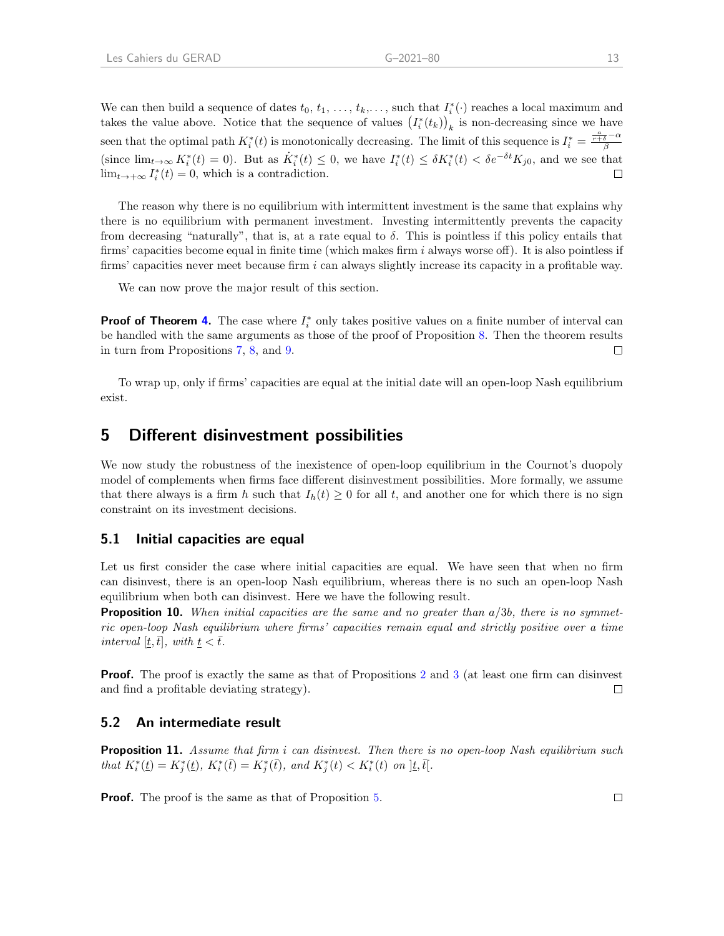We can then build a sequence of dates  $t_0, t_1, \ldots, t_k, \ldots$ , such that  $I_i^*(\cdot)$  reaches a local maximum and takes the value above. Notice that the sequence of values  $(I_i^*(t_k))_k$  is non-decreasing since we have seen that the optimal path  $K_i^*(t)$  is monotonically decreasing. The limit of this sequence is  $I_i^* = \frac{\frac{a}{r+\delta}-\alpha}{\beta}$  $(\text{since } \lim_{t\to\infty} K_i^*(t) = 0)$ . But as  $\dot{K}_i^*(t) \leq 0$ , we have  $I_i^*(t) \leq \delta K_i^*(t) < \delta e^{-\delta t} K_{j0}$ , and we see that  $\lim_{t\to+\infty} I_i^*(t) = 0$ , which is a contradiction.  $\Box$ 

The reason why there is no equilibrium with intermittent investment is the same that explains why there is no equilibrium with permanent investment. Investing intermittently prevents the capacity from decreasing "naturally", that is, at a rate equal to  $\delta$ . This is pointless if this policy entails that firms' capacities become equal in finite time (which makes firm  $i$  always worse off). It is also pointless if firms' capacities never meet because firm  $i$  can always slightly increase its capacity in a profitable way.

We can now prove the major result of this section.

**Proof of Theorem [4.](#page-13-1)** The case where  $I_i^*$  only takes positive values on a finite number of interval can be handled with the same arguments as those of the proof of Proposition [8.](#page-13-0) Then the theorem results in turn from Propositions [7,](#page-13-2) [8,](#page-13-0) and [9.](#page-13-3)  $\Box$ 

To wrap up, only if firms' capacities are equal at the initial date will an open-loop Nash equilibrium exist.

### 5 Different disinvestment possibilities

We now study the robustness of the inexistence of open-loop equilibrium in the Cournot's duopoly model of complements when firms face different disinvestment possibilities. More formally, we assume that there always is a firm h such that  $I_h(t) \geq 0$  for all t, and another one for which there is no sign constraint on its investment decisions.

#### 5.1 Initial capacities are equal

Let us first consider the case where initial capacities are equal. We have seen that when no firm can disinvest, there is an open-loop Nash equilibrium, whereas there is no such an open-loop Nash equilibrium when both can disinvest. Here we have the following result.

**Proposition 10.** When initial capacities are the same and no greater than  $a/3b$ , there is no symmetric open-loop Nash equilibrium where firms' capacities remain equal and strictly positive over a time interval  $[\underline{t},\overline{t}]$ , with  $\underline{t}<\overline{t}$ .

**Proof.** The proof is exactly the same as that of Propositions [2](#page-6-0) and [3](#page-9-0) (at least one firm can disinvest and find a profitable deviating strategy).  $\Box$ 

#### 5.2 An intermediate result

**Proposition 11.** Assume that firm i can disinvest. Then there is no open-loop Nash equilibrium such that  $K_i^*(t) = K_j^*(t)$ ,  $K_i^*(\bar{t}) = K_j^*(\bar{t})$ , and  $K_j^*(t) < K_i^*(t)$  on  $]\underline{t}, \overline{t}$ .

**Proof.** The proof is the same as that of Proposition [5.](#page-10-0)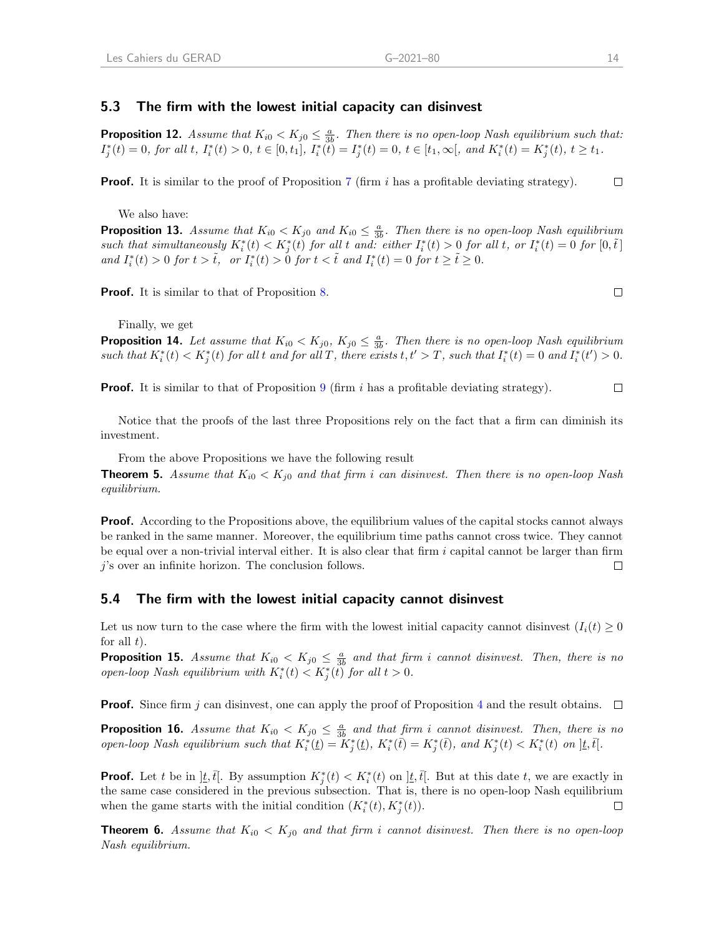### 5.3 The firm with the lowest initial capacity can disinvest

**Proposition 12.** Assume that  $K_{i0} < K_{j0} \leq \frac{a}{3b}$ . Then there is no open-loop Nash equilibrium such that:  $I_j^*(t) = 0$ , for all t,  $I_i^*(t) > 0$ ,  $t \in [0, t_1]$ ,  $I_i^*(t) = I_j^*(t) = 0$ ,  $t \in [t_1, \infty[$ , and  $K_i^*(t) = K_j^*(t)$ ,  $t \ge t_1$ .

**Proof.** It is similar to the proof of Proposition [7](#page-13-2) (firm  $i$  has a profitable deviating strategy).  $\Box$ 

We also have:

**Proposition 13.** Assume that  $K_{i0} < K_{j0}$  and  $K_{i0} \leq \frac{a}{3b}$ . Then there is no open-loop Nash equilibrium such that simultaneously  $K_i^*(t) < K_j^*(t)$  for all t and: either  $I_i^*(t) > 0$  for all t, or  $I_i^*(t) = 0$  for  $[0, \tilde{t}]$ and  $I_i^*(t) > 0$  for  $t > \tilde{t}$ , or  $I_i^*(t) > 0$  for  $t < \tilde{t}$  and  $I_i^*(t) = 0$  for  $t \geq \tilde{t} \geq 0$ .

**Proof.** It is similar to that of Proposition [8.](#page-13-0)

Finally, we get

**Proposition 14.** Let assume that  $K_{i0} < K_{j0}$ ,  $K_{j0} \leq \frac{a}{3b}$ . Then there is no open-loop Nash equilibrium such that  $K_i^*(t) < K_j^*(t)$  for all t and for all T, there exists  $t, t' > T$ , such that  $I_i^*(t) = 0$  and  $I_i^*(t') > 0$ .

**Proof.** It is similar to that of Proposition [9](#page-13-3) (firm i has a profitable deviating strategy).  $\Box$ 

Notice that the proofs of the last three Propositions rely on the fact that a firm can diminish its investment.

From the above Propositions we have the following result

**Theorem 5.** Assume that  $K_{i0} < K_{i0}$  and that firm i can disinvest. Then there is no open-loop Nash equilibrium.

**Proof.** According to the Propositions above, the equilibrium values of the capital stocks cannot always be ranked in the same manner. Moreover, the equilibrium time paths cannot cross twice. They cannot be equal over a non-trivial interval either. It is also clear that firm  $i$  capital cannot be larger than firm  $j$ 's over an infinite horizon. The conclusion follows.  $\Box$ 

#### 5.4 The firm with the lowest initial capacity cannot disinvest

Let us now turn to the case where the firm with the lowest initial capacity cannot disinvest  $(I_i(t) \geq 0$ for all  $t$ ).

**Proposition 15.** Assume that  $K_{i0} < K_{j0} \leq \frac{a}{3b}$  and that firm i cannot disinvest. Then, there is no open-loop Nash equilibrium with  $K_i^*(t) < K_j^*(t)$  for all  $t > 0$ .

**Proof.** Since firm j can disinvest, one can apply the proof of Proposition [4](#page-9-1) and the result obtains.  $\Box$ 

**Proposition 16.** Assume that  $K_{i0} < K_{j0} \leq \frac{a}{3b}$  and that firm i cannot disinvest. Then, there is no open-loop Nash equilibrium such that  $K_i^*(t) = K_j^*(t)$ ,  $K_i^*(\bar{t}) = K_j^*(\bar{t})$ , and  $K_j^*(t) < K_i^*(t)$  on  $]t, \bar{t}$ .

**Proof.** Let t be in  $\vert \underline{t}, \overline{t} \vert$ . By assumption  $K_j^*(t) < K_i^*(t)$  on  $\vert \underline{t}, \overline{t} \vert$ . But at this date t, we are exactly in the same case considered in the previous subsection. That is, there is no open-loop Nash equilibrium when the game starts with the initial condition  $(K_i^*(t), K_j^*(t))$ .  $\Box$ 

**Theorem 6.** Assume that  $K_{i0} < K_{j0}$  and that firm i cannot disinvest. Then there is no open-loop Nash equilibrium.

 $\Box$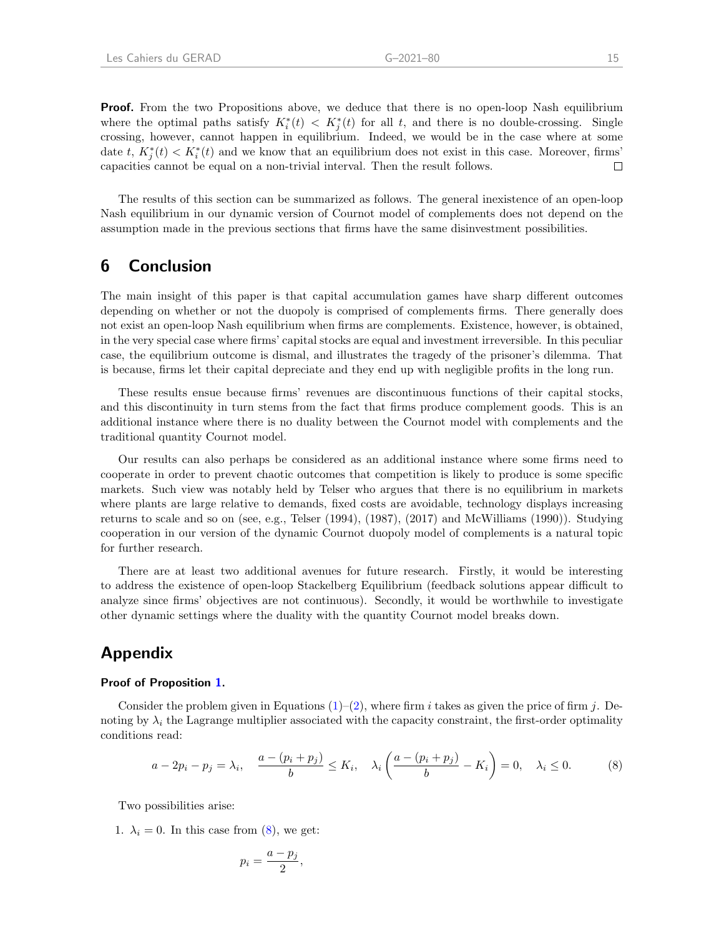**Proof.** From the two Propositions above, we deduce that there is no open-loop Nash equilibrium where the optimal paths satisfy  $K_i^*(t) < K_j^*(t)$  for all t, and there is no double-crossing. Single crossing, however, cannot happen in equilibrium. Indeed, we would be in the case where at some date t,  $K_j^*(t) < K_i^*(t)$  and we know that an equilibrium does not exist in this case. Moreover, firms' capacities cannot be equal on a non-trivial interval. Then the result follows.  $\Box$ 

The results of this section can be summarized as follows. The general inexistence of an open-loop Nash equilibrium in our dynamic version of Cournot model of complements does not depend on the assumption made in the previous sections that firms have the same disinvestment possibilities.

### 6 Conclusion

The main insight of this paper is that capital accumulation games have sharp different outcomes depending on whether or not the duopoly is comprised of complements firms. There generally does not exist an open-loop Nash equilibrium when firms are complements. Existence, however, is obtained, in the very special case where firms' capital stocks are equal and investment irreversible. In this peculiar case, the equilibrium outcome is dismal, and illustrates the tragedy of the prisoner's dilemma. That is because, firms let their capital depreciate and they end up with negligible profits in the long run.

These results ensue because firms' revenues are discontinuous functions of their capital stocks, and this discontinuity in turn stems from the fact that firms produce complement goods. This is an additional instance where there is no duality between the Cournot model with complements and the traditional quantity Cournot model.

Our results can also perhaps be considered as an additional instance where some firms need to cooperate in order to prevent chaotic outcomes that competition is likely to produce is some specific markets. Such view was notably held by Telser who argues that there is no equilibrium in markets where plants are large relative to demands, fixed costs are avoidable, technology displays increasing returns to scale and so on (see, e.g., Telser (1994), (1987), (2017) and McWilliams (1990)). Studying cooperation in our version of the dynamic Cournot duopoly model of complements is a natural topic for further research.

There are at least two additional avenues for future research. Firstly, it would be interesting to address the existence of open-loop Stackelberg Equilibrium (feedback solutions appear difficult to analyze since firms' objectives are not continuous). Secondly, it would be worthwhile to investigate other dynamic settings where the duality with the quantity Cournot model breaks down.

## Appendix

#### Proof of Proposition [1.](#page-4-1)

Consider the problem given in Equations  $(1)-(2)$  $(1)-(2)$  $(1)-(2)$ , where firm i takes as given the price of firm j. Denoting by  $\lambda_i$  the Lagrange multiplier associated with the capacity constraint, the first-order optimality conditions read:

<span id="page-17-0"></span>
$$
a - 2p_i - p_j = \lambda_i, \quad \frac{a - (p_i + p_j)}{b} \le K_i, \quad \lambda_i \left(\frac{a - (p_i + p_j)}{b} - K_i\right) = 0, \quad \lambda_i \le 0. \tag{8}
$$

Two possibilities arise:

1.  $\lambda_i = 0$ . In this case from [\(8\)](#page-17-0), we get:

$$
p_i = \frac{a - p_j}{2},
$$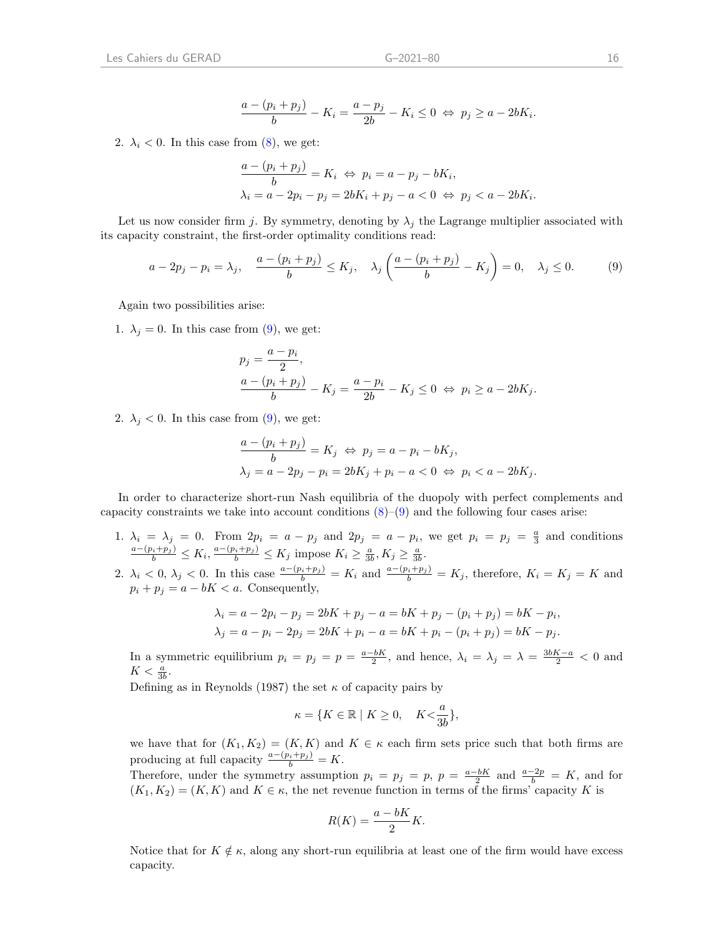$$
\frac{a - (p_i + p_j)}{b} - K_i = \frac{a - p_j}{2b} - K_i \le 0 \Leftrightarrow p_j \ge a - 2bK_i.
$$

2.  $\lambda_i$  < 0. In this case from [\(8\)](#page-17-0), we get:

$$
\frac{a - (p_i + p_j)}{b} = K_i \Leftrightarrow p_i = a - p_j - bK_i,
$$
  

$$
\lambda_i = a - 2p_i - p_j = 2bK_i + p_j - a < 0 \Leftrightarrow p_j < a - 2bK_i.
$$

Let us now consider firm j. By symmetry, denoting by  $\lambda_i$  the Lagrange multiplier associated with its capacity constraint, the first-order optimality conditions read:

<span id="page-18-0"></span>
$$
a - 2p_j - p_i = \lambda_j, \quad \frac{a - (p_i + p_j)}{b} \le K_j, \quad \lambda_j \left(\frac{a - (p_i + p_j)}{b} - K_j\right) = 0, \quad \lambda_j \le 0. \tag{9}
$$

Again two possibilities arise:

1.  $\lambda_j = 0$ . In this case from [\(9\)](#page-18-0), we get:

$$
p_j = \frac{a - p_i}{2},
$$
  

$$
\frac{a - (p_i + p_j)}{b} - K_j = \frac{a - p_i}{2b} - K_j \le 0 \Leftrightarrow p_i \ge a - 2bK_j.
$$

2.  $\lambda_i$  < 0. In this case from [\(9\)](#page-18-0), we get:

$$
\frac{a - (p_i + p_j)}{b} = K_j \Leftrightarrow p_j = a - p_i - bK_j,
$$
  

$$
\lambda_j = a - 2p_j - p_i = 2bK_j + p_i - a < 0 \Leftrightarrow p_i < a - 2bK_j.
$$

In order to characterize short-run Nash equilibria of the duopoly with perfect complements and capacity constraints we take into account conditions  $(8)-(9)$  $(8)-(9)$  $(8)-(9)$  and the following four cases arise:

- 1.  $\lambda_i = \lambda_j = 0$ . From  $2p_i = a p_j$  and  $2p_j = a p_i$ , we get  $p_i = p_j = \frac{a}{3}$  and conditions  $\frac{a-(p_i+p_j)}{b} \leq K_i, \frac{a-(p_i+p_j)}{b} \leq K_j \text{ impose } K_i \geq \frac{a}{3b}, K_j \geq \frac{a}{3b}.$
- 2.  $\lambda_i < 0$ ,  $\lambda_j < 0$ . In this case  $\frac{a-(p_i+p_j)}{b} = K_i$  and  $\frac{a-(p_i+p_j)}{b} = K_j$ , therefore,  $K_i = K_j = K$  and  $p_i + p_j = a - bK < a$ . Consequently,

$$
\lambda_i = a - 2p_i - p_j = 2bK + p_j - a = bK + p_j - (p_i + p_j) = bK - p_i,
$$
  

$$
\lambda_j = a - p_i - 2p_j = 2bK + p_i - a = bK + p_i - (p_i + p_j) = bK - p_j.
$$

In a symmetric equilibrium  $p_i = p_j = \frac{a - bK}{2}$ , and hence,  $\lambda_i = \lambda_j = \lambda = \frac{3bK - a}{2} < 0$  and  $K < \frac{a}{3b}$ .

Defining as in Reynolds (1987) the set  $\kappa$  of capacity pairs by

$$
\kappa = \{ K \in \mathbb{R} \mid K \ge 0, \quad K < \frac{a}{3b} \},
$$

we have that for  $(K_1, K_2) = (K, K)$  and  $K \in \kappa$  each firm sets price such that both firms are producing at full capacity  $\frac{a-(p_i+p_j)}{b} = K$ .

Therefore, under the symmetry assumption  $p_i = p_j = p$ ,  $p = \frac{a-bK}{2}$  and  $\frac{a-2p}{b} = K$ , and for  $(K_1, K_2) = (K, K)$  and  $K \in \kappa$ , the net revenue function in terms of the firms' capacity K is

$$
R(K) = \frac{a - bK}{2}K.
$$

Notice that for  $K \notin \kappa$ , along any short-run equilibria at least one of the firm would have excess capacity.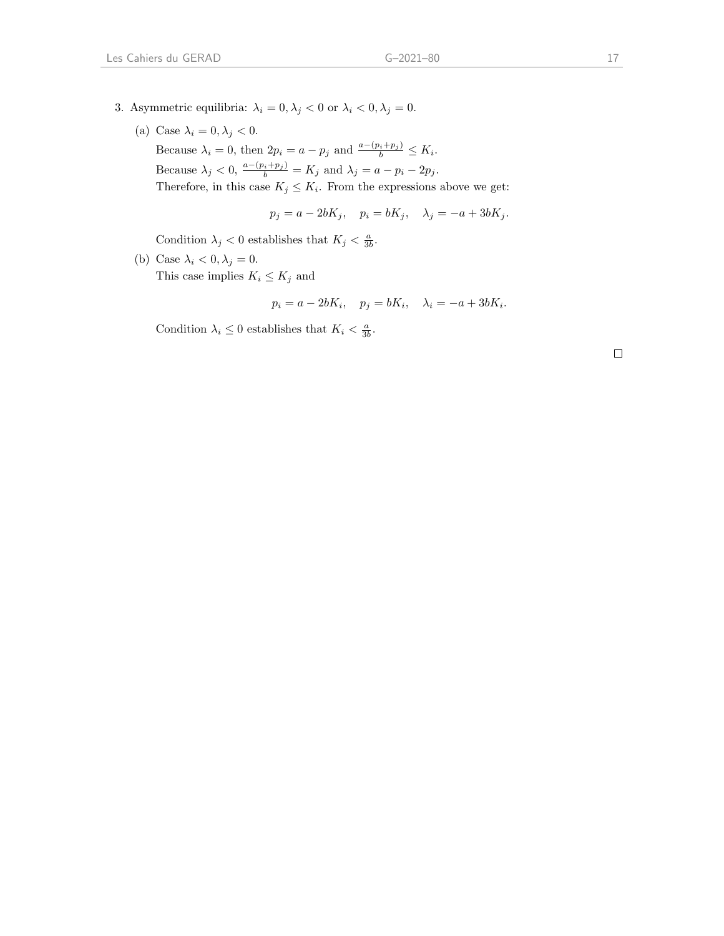- 3. Asymmetric equilibria:  $\lambda_i = 0, \lambda_j < 0$  or  $\lambda_i < 0, \lambda_j = 0$ .
	- (a) Case  $\lambda_i = 0, \lambda_j < 0$ . Because  $\lambda_i = 0$ , then  $2p_i = a - p_j$  and  $\frac{a - (p_i + p_j)}{b} \leq K_i$ . Because  $\lambda_j < 0$ ,  $\frac{a - (p_i + p_j)}{b} = K_j$  and  $\lambda_j = a - p_i - 2p_j$ . Therefore, in this case  $K_j \leq K_i$ . From the expressions above we get:

$$
p_j = a - 2bK_j, \quad p_i = bK_j, \quad \lambda_j = -a + 3bK_j.
$$

Condition  $\lambda_j < 0$  establishes that  $K_j < \frac{a}{3b}$ .

(b) Case  $\lambda_i < 0, \lambda_j = 0$ . This case implies  $K_i \leq K_j$  and

$$
p_i = a - 2bK_i, \quad p_j = bK_i, \quad \lambda_i = -a + 3bK_i.
$$

Condition  $\lambda_i \leq 0$  establishes that  $K_i < \frac{a}{3b}$ .

 $\Box$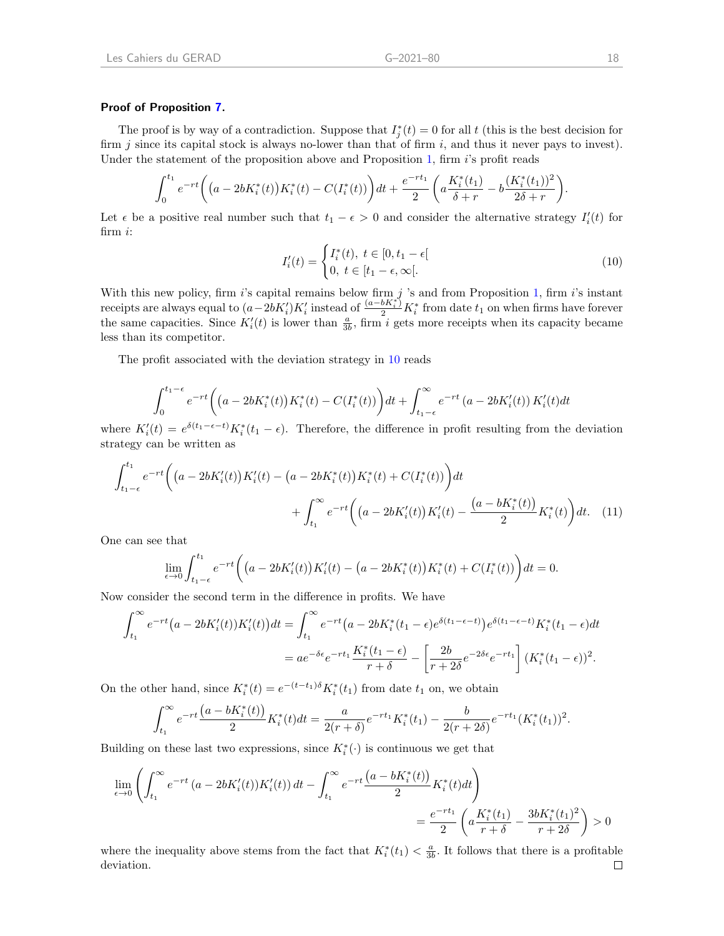#### Proof of Proposition [7.](#page-13-2)

The proof is by way of a contradiction. Suppose that  $I_j^*(t) = 0$  for all t (this is the best decision for firm j since its capital stock is always no-lower than that of firm  $i$ , and thus it never pays to invest). Under the statement of the proposition above and Proposition [1,](#page-4-1) firm  $i$ 's profit reads

$$
\int_0^{t_1} e^{-rt} \left( \left( a - 2bK_i^*(t) \right) K_i^*(t) - C\left( I_i^*(t) \right) \right) dt + \frac{e^{-rt_1}}{2} \left( a \frac{K_i^*(t_1)}{\delta + r} - b \frac{(K_i^*(t_1))^2}{2\delta + r} \right).
$$

Let  $\epsilon$  be a positive real number such that  $t_1 - \epsilon > 0$  and consider the alternative strategy  $I_i'(t)$  for firm i:

<span id="page-20-0"></span>
$$
I'_i(t) = \begin{cases} I_i^*(t), \ t \in [0, t_1 - \epsilon[\\ 0, \ t \in [t_1 - \epsilon, \infty[]. \end{cases}
$$
 (10)

With this new policy, firm i's capital remains below firm j 's and from Proposition [1,](#page-4-1) firm i's instant receipts are always equal to  $(a-2bK_i')K_i'$  instead of  $\frac{(a-bK_i^*)^2}{2}K_i^*$  from date  $t_1$  on when firms have forever the same capacities. Since  $K_i'(t)$  is lower than  $\frac{a}{3b}$ , firm i gets more receipts when its capacity became less than its competitor.

The profit associated with the deviation strategy in [10](#page-20-0) reads

$$
\int_0^{t_1-\epsilon} e^{-rt} \left( \left( a - 2bK_i^*(t) \right) K_i^*(t) - C(I_i^*(t)) \right) dt + \int_{t_1-\epsilon}^{\infty} e^{-rt} \left( a - 2bK_i'(t) \right) K_i'(t) dt
$$

where  $K_i'(t) = e^{\delta(t_1 - \epsilon - t)} K_i^*(t_1 - \epsilon)$ . Therefore, the difference in profit resulting from the deviation strategy can be written as

$$
\int_{t_1-\epsilon}^{t_1} e^{-rt} \left( \left( a - 2bK_i'(t) \right) K_i'(t) - \left( a - 2bK_i^*(t) \right) K_i^*(t) + C(I_i^*(t)) \right) dt + \int_{t_1}^{\infty} e^{-rt} \left( \left( a - 2bK_i'(t) \right) K_i'(t) - \frac{\left( a - bK_i^*(t) \right)}{2} K_i^*(t) \right) dt. \tag{11}
$$

One can see that

$$
\lim_{\epsilon \to 0} \int_{t_1 - \epsilon}^{t_1} e^{-rt} \bigg( \big( a - 2bK'_i(t) \big) K'_i(t) - \big( a - 2bK^*_i(t) \big) K^*_i(t) + C(I^*_i(t)) \bigg) dt = 0.
$$

Now consider the second term in the difference in profits. We have

$$
\int_{t_1}^{\infty} e^{-rt} \left(a - 2bK_i'(t)\right) K_i'(t) dt = \int_{t_1}^{\infty} e^{-rt} \left(a - 2bK_i^*(t_1 - \epsilon)e^{\delta(t_1 - \epsilon - t)}\right) e^{\delta(t_1 - \epsilon - t)} K_i^*(t_1 - \epsilon) dt
$$

$$
= a e^{-\delta \epsilon} e^{-rt_1} \frac{K_i^*(t_1 - \epsilon)}{r + \delta} - \left[\frac{2b}{r + 2\delta} e^{-2\delta \epsilon} e^{-rt_1}\right] (K_i^*(t_1 - \epsilon))^2.
$$

On the other hand, since  $K_i^*(t) = e^{-(t-t_1)\delta} K_i^*(t_1)$  from date  $t_1$  on, we obtain

$$
\int_{t_1}^{\infty} e^{-rt} \frac{\left(a - bK_i^*(t)\right)}{2} K_i^*(t) dt = \frac{a}{2(r+\delta)} e^{-rt_1} K_i^*(t_1) - \frac{b}{2(r+2\delta)} e^{-rt_1} (K_i^*(t_1))^2.
$$

Building on these last two expressions, since  $K_i^*(\cdot)$  is continuous we get that

$$
\lim_{\epsilon \to 0} \left( \int_{t_1}^{\infty} e^{-rt} \left( a - 2bK'_i(t) \right) K'_i(t) \right) dt - \int_{t_1}^{\infty} e^{-rt} \frac{\left( a - bK_i^*(t) \right)}{2} K_i^*(t) dt \right)
$$
\n
$$
= \frac{e^{-rt_1}}{2} \left( a \frac{K_i^*(t_1)}{r + \delta} - \frac{3bK_i^*(t_1)^2}{r + 2\delta} \right) > 0
$$

where the inequality above stems from the fact that  $K_i^*(t_1) < \frac{a}{3b}$ . It follows that there is a profitable deviation. $\Box$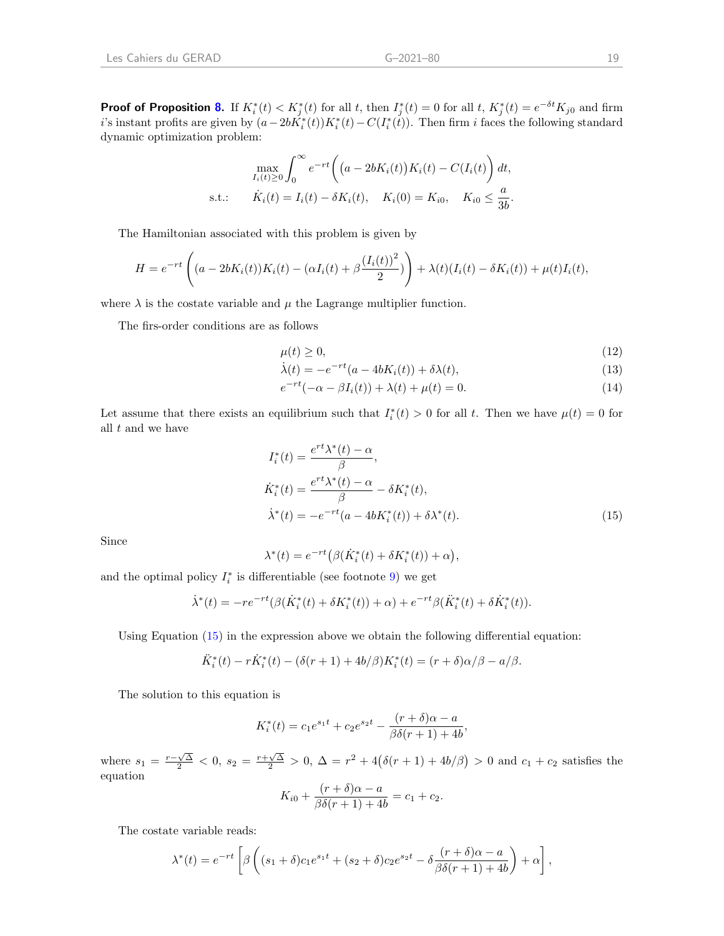**Proof of Proposition [8.](#page-13-0)** If  $K_i^*(t) < K_j^*(t)$  for all t, then  $I_j^*(t) = 0$  for all t,  $K_j^*(t) = e^{-\delta t} K_{j0}$  and firm i's instant profits are given by  $(a-2b\tilde{K}_i^*(t))K_i^*(t) - C(I_i^*(t))$ . Then firm i faces the following standard dynamic optimization problem:

$$
\max_{I_i(t) \ge 0} \int_0^\infty e^{-rt} \left( (a - 2bK_i(t))K_i(t) - C(I_i(t)) \right) dt,
$$
  
s.t.:  $\dot{K}_i(t) = I_i(t) - \delta K_i(t), \quad K_i(0) = K_{i0}, \quad K_{i0} \le \frac{a}{3b}.$ 

The Hamiltonian associated with this problem is given by

$$
H = e^{-rt} \left( (a - 2bK_i(t))K_i(t) - (\alpha I_i(t) + \beta \frac{(I_i(t))^2}{2}) \right) + \lambda(t)(I_i(t) - \delta K_i(t)) + \mu(t)I_i(t),
$$

where  $\lambda$  is the costate variable and  $\mu$  the Lagrange multiplier function.

The firs-order conditions are as follows

<span id="page-21-1"></span>
$$
\mu(t) \ge 0,\tag{12}
$$

$$
\dot{\lambda}(t) = -e^{-rt}(a - 4bK_i(t)) + \delta\lambda(t),\tag{13}
$$

$$
e^{-rt}(-\alpha - \beta I_i(t)) + \lambda(t) + \mu(t) = 0.
$$
 (14)

Let assume that there exists an equilibrium such that  $I_i^*(t) > 0$  for all t. Then we have  $\mu(t) = 0$  for all  $t$  and we have

$$
I_i^*(t) = \frac{e^{rt}\lambda^*(t) - \alpha}{\beta},
$$
  
\n
$$
\dot{K}_i^*(t) = \frac{e^{rt}\lambda^*(t) - \alpha}{\beta} - \delta K_i^*(t),
$$
  
\n
$$
\dot{\lambda}^*(t) = -e^{-rt}(a - 4bK_i^*(t)) + \delta \lambda^*(t).
$$
\n(15)

Since

<span id="page-21-0"></span>
$$
\lambda^*(t) = e^{-rt} \big( \beta(\dot{K}_i^*(t) + \delta K_i^*(t)) + \alpha \big),
$$

and the optimal policy  $I_i^*$  is differentiable (see footnote [9\)](#page-10-1) we get

$$
\dot{\lambda}^*(t) = -re^{-rt}(\beta(\dot{K}_i^*(t) + \delta K_i^*(t)) + \alpha) + e^{-rt}\beta(\ddot{K}_i^*(t) + \delta \dot{K}_i^*(t)).
$$

Using Equation [\(15\)](#page-21-0) in the expression above we obtain the following differential equation:

$$
\ddot{K}_{i}^{*}(t) - r\dot{K}_{i}^{*}(t) - (\delta(r+1) + 4b/\beta)K_{i}^{*}(t) = (r+\delta)\alpha/\beta - a/\beta.
$$

The solution to this equation is

$$
K_i^*(t) = c_1 e^{s_1 t} + c_2 e^{s_2 t} - \frac{(r+\delta)\alpha - a}{\beta \delta(r+1) + 4b},
$$

where  $s_1 = \frac{r-\sqrt{\Delta}}{2} < 0$ ,  $s_2 = \frac{r+\sqrt{\Delta}}{2} > 0$ ,  $\Delta = r^2 + 4(\delta(r+1) + 4b/\beta) > 0$  and  $c_1 + c_2$  satisfies the equation

$$
K_{i0} + \frac{(r+\delta)\alpha - a}{\beta\delta(r+1) + 4b} = c_1 + c_2.
$$

The costate variable reads:

$$
\lambda^*(t) = e^{-rt} \left[ \beta \left( (s_1 + \delta)c_1 e^{s_1 t} + (s_2 + \delta)c_2 e^{s_2 t} - \delta \frac{(r+\delta)\alpha - a}{\beta \delta(r+1) + 4b} \right) + \alpha \right],
$$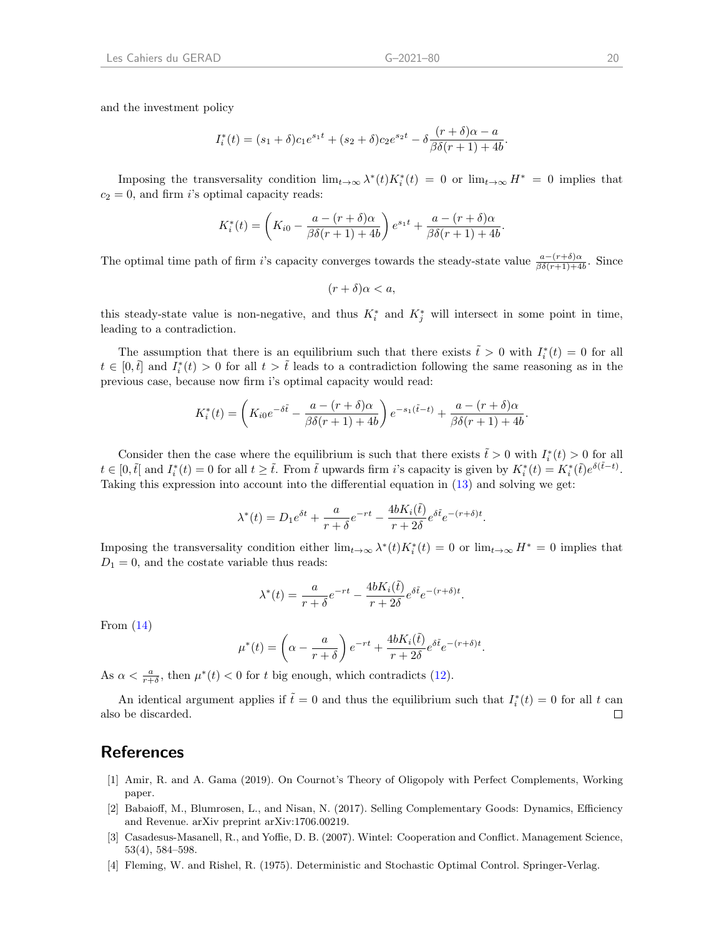and the investment policy

$$
I_i^*(t) = (s_1 + \delta)c_1e^{s_1t} + (s_2 + \delta)c_2e^{s_2t} - \delta \frac{(r+\delta)\alpha - a}{\beta\delta(r+1) + 4b}.
$$

Imposing the transversality condition  $\lim_{t\to\infty}\lambda^*(t)K_i^*(t) = 0$  or  $\lim_{t\to\infty}H^* = 0$  implies that  $c_2 = 0$ , and firm i's optimal capacity reads:

$$
K_i^*(t) = \left(K_{i0} - \frac{a - (r + \delta)\alpha}{\beta\delta(r + 1) + 4b}\right)e^{s_1t} + \frac{a - (r + \delta)\alpha}{\beta\delta(r + 1) + 4b}.
$$

The optimal time path of firm i's capacity converges towards the steady-state value  $\frac{a-(r+\delta)\alpha}{\beta\delta(r+1)+4b}$ . Since

$$
(r+\delta)\alpha < a
$$

this steady-state value is non-negative, and thus  $K_i^*$  and  $K_j^*$  will intersect in some point in time, leading to a contradiction.

The assumption that there is an equilibrium such that there exists  $\tilde{t} > 0$  with  $I_i^*(t) = 0$  for all  $t \in [0, \tilde{t}]$  and  $I_i^*(t) > 0$  for all  $t > \tilde{t}$  leads to a contradiction following the same reasoning as in the previous case, because now firm i's optimal capacity would read:

$$
K_i^*(t) = \left(K_{i0}e^{-\delta \tilde{t}} - \frac{a - (r + \delta)\alpha}{\beta \delta(r + 1) + 4b}\right)e^{-s_1(\tilde{t} - t)} + \frac{a - (r + \delta)\alpha}{\beta \delta(r + 1) + 4b}.
$$

Consider then the case where the equilibrium is such that there exists  $\tilde{t} > 0$  with  $I_i^*(t) > 0$  for all  $t \in [0, \tilde{t}]$  and  $I_i^*(t) = 0$  for all  $t \geq \tilde{t}$ . From  $\tilde{t}$  upwards firm i's capacity is given by  $K_i^*(t) = K_i^*(\tilde{t})e^{\delta(\tilde{t}-t)}$ . Taking this expression into account into the differential equation in [\(13\)](#page-21-1) and solving we get:

$$
\lambda^*(t)=D_1e^{\delta t}+\frac{a}{r+\delta}e^{-rt}-\frac{4bK_i(\tilde{t})}{r+2\delta}e^{\delta \tilde{t}}e^{-(r+\delta)t}.
$$

Imposing the transversality condition either  $\lim_{t\to\infty} \lambda^*(t) K_i^*(t) = 0$  or  $\lim_{t\to\infty} H^* = 0$  implies that  $D_1 = 0$ , and the costate variable thus reads:

$$
\lambda^*(t) = \frac{a}{r+\delta}e^{-rt} - \frac{4bK_i(\tilde{t})}{r+2\delta}e^{\delta \tilde{t}}e^{-(r+\delta)t}.
$$

From  $(14)$ 

$$
\mu^*(t) = \left(\alpha - \frac{a}{r+\delta}\right)e^{-rt} + \frac{4bK_i(\tilde{t})}{r+2\delta}e^{\delta\tilde{t}}e^{-(r+\delta)t}.
$$

As  $\alpha < \frac{a}{r+\delta}$ , then  $\mu^*(t) < 0$  for t big enough, which contradicts [\(12\)](#page-21-1).

An identical argument applies if  $\tilde{t} = 0$  and thus the equilibrium such that  $I_i^*(t) = 0$  for all t can also be discarded.  $\Box$ 

### References

- [1] Amir, R. and A. Gama (2019). On Cournot's Theory of Oligopoly with Perfect Complements, Working paper.
- [2] Babaioff, M., Blumrosen, L., and Nisan, N. (2017). Selling Complementary Goods: Dynamics, Efficiency and Revenue. arXiv preprint arXiv:1706.00219.
- [3] Casadesus-Masanell, R., and Yoffie, D. B. (2007). Wintel: Cooperation and Conflict. Management Science, 53(4), 584–598.
- [4] Fleming, W. and Rishel, R. (1975). Deterministic and Stochastic Optimal Control. Springer-Verlag.